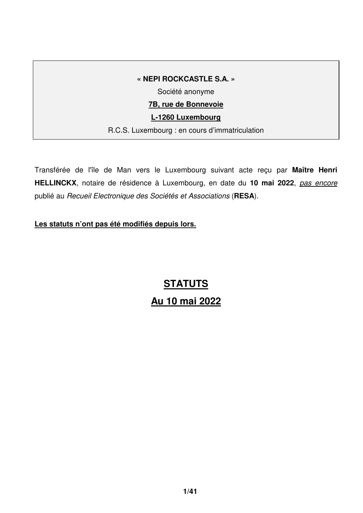# **« NEPI ROCKCASTLE S.A. »**

Société anonyme

### **7B, rue de Bonnevoie**

#### **L-1260 Luxembourg**

R.C.S. Luxembourg : en cours d'immatriculation

Transférée de l'île de Man vers le Luxembourg suivant acte reçu par **Maître Henri HELLINCKX**, notaire de résidence à Luxembourg, en date du **10 mai 2022**, pas encore publié au Recueil Electronique des Sociétés et Associations (**RESA**).

**Les statuts n'ont pas été modifiés depuis lors.** 

# **STATUTS Au 10 mai 2022**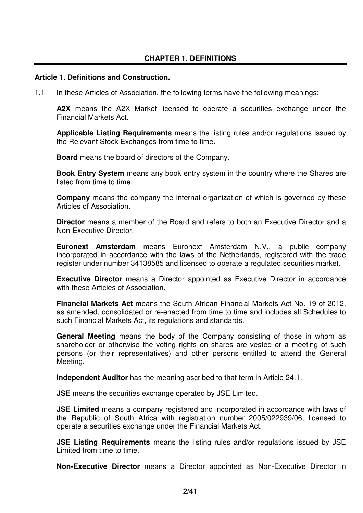# **CHAPTER 1. DEFINITIONS**

### **Article 1. Definitions and Construction.**

1.1 In these Articles of Association, the following terms have the following meanings:

**A2X** means the A2X Market licensed to operate a securities exchange under the Financial Markets Act.

**Applicable Listing Requirements** means the listing rules and/or regulations issued by the Relevant Stock Exchanges from time to time.

**Board** means the board of directors of the Company.

**Book Entry System** means any book entry system in the country where the Shares are listed from time to time.

**Company** means the company the internal organization of which is governed by these Articles of Association.

**Director** means a member of the Board and refers to both an Executive Director and a Non-Executive Director.

**Euronext Amsterdam** means Euronext Amsterdam N.V., a public company incorporated in accordance with the laws of the Netherlands, registered with the trade register under number 34138585 and licensed to operate a regulated securities market.

**Executive Director** means a Director appointed as Executive Director in accordance with these Articles of Association.

**Financial Markets Act** means the South African Financial Markets Act No. 19 of 2012, as amended, consolidated or re-enacted from time to time and includes all Schedules to such Financial Markets Act, its regulations and standards.

**General Meeting** means the body of the Company consisting of those in whom as shareholder or otherwise the voting rights on shares are vested or a meeting of such persons (or their representatives) and other persons entitled to attend the General Meeting.

**Independent Auditor** has the meaning ascribed to that term in Article 24.1.

**JSE** means the securities exchange operated by JSE Limited.

**JSE Limited** means a company registered and incorporated in accordance with laws of the Republic of South Africa with registration number 2005/022939/06, licensed to operate a securities exchange under the Financial Markets Act.

**JSE Listing Requirements** means the listing rules and/or regulations issued by JSE Limited from time to time.

**Non-Executive Director** means a Director appointed as Non-Executive Director in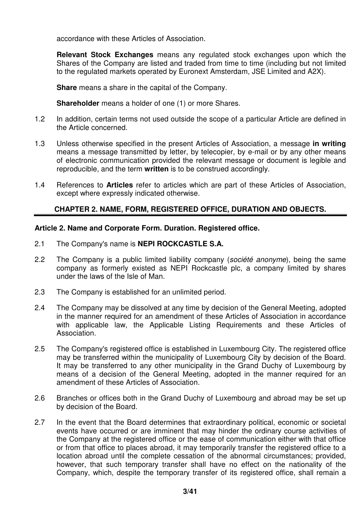accordance with these Articles of Association.

**Relevant Stock Exchanges** means any regulated stock exchanges upon which the Shares of the Company are listed and traded from time to time (including but not limited to the regulated markets operated by Euronext Amsterdam, JSE Limited and A2X).

**Share** means a share in the capital of the Company.

**Shareholder** means a holder of one (1) or more Shares.

- 1.2 In addition, certain terms not used outside the scope of a particular Article are defined in the Article concerned.
- 1.3 Unless otherwise specified in the present Articles of Association, a message **in writing**  means a message transmitted by letter, by telecopier, by e-mail or by any other means of electronic communication provided the relevant message or document is legible and reproducible, and the term **written** is to be construed accordingly.
- 1.4 References to **Articles** refer to articles which are part of these Articles of Association, except where expressly indicated otherwise.

# **CHAPTER 2. NAME, FORM, REGISTERED OFFICE, DURATION AND OBJECTS.**

### **Article 2. Name and Corporate Form. Duration. Registered office.**

- 2.1 The Company's name is **NEPI ROCKCASTLE S.A.**
- 2.2 The Company is a public limited liability company (société anonyme), being the same company as formerly existed as NEPI Rockcastle plc, a company limited by shares under the laws of the Isle of Man.
- 2.3 The Company is established for an unlimited period.
- 2.4 The Company may be dissolved at any time by decision of the General Meeting, adopted in the manner required for an amendment of these Articles of Association in accordance with applicable law, the Applicable Listing Requirements and these Articles of Association.
- 2.5 The Company's registered office is established in Luxembourg City. The registered office may be transferred within the municipality of Luxembourg City by decision of the Board. It may be transferred to any other municipality in the Grand Duchy of Luxembourg by means of a decision of the General Meeting, adopted in the manner required for an amendment of these Articles of Association.
- 2.6 Branches or offices both in the Grand Duchy of Luxembourg and abroad may be set up by decision of the Board.
- 2.7 In the event that the Board determines that extraordinary political, economic or societal events have occurred or are imminent that may hinder the ordinary course activities of the Company at the registered office or the ease of communication either with that office or from that office to places abroad, it may temporarily transfer the registered office to a location abroad until the complete cessation of the abnormal circumstances; provided, however, that such temporary transfer shall have no effect on the nationality of the Company, which, despite the temporary transfer of its registered office, shall remain a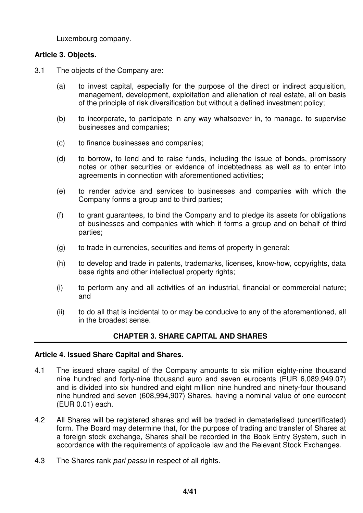Luxembourg company.

# **Article 3. Objects.**

- 3.1 The objects of the Company are:
	- (a) to invest capital, especially for the purpose of the direct or indirect acquisition, management, development, exploitation and alienation of real estate, all on basis of the principle of risk diversification but without a defined investment policy;
	- (b) to incorporate, to participate in any way whatsoever in, to manage, to supervise businesses and companies;
	- (c) to finance businesses and companies;
	- (d) to borrow, to lend and to raise funds, including the issue of bonds, promissory notes or other securities or evidence of indebtedness as well as to enter into agreements in connection with aforementioned activities;
	- (e) to render advice and services to businesses and companies with which the Company forms a group and to third parties;
	- (f) to grant guarantees, to bind the Company and to pledge its assets for obligations of businesses and companies with which it forms a group and on behalf of third parties;
	- (g) to trade in currencies, securities and items of property in general;
	- (h) to develop and trade in patents, trademarks, licenses, know-how, copyrights, data base rights and other intellectual property rights;
	- (i) to perform any and all activities of an industrial, financial or commercial nature; and
	- (ii) to do all that is incidental to or may be conducive to any of the aforementioned, all in the broadest sense.

### **CHAPTER 3. SHARE CAPITAL AND SHARES**

#### **Article 4. Issued Share Capital and Shares.**

- 4.1 The issued share capital of the Company amounts to six million eighty-nine thousand nine hundred and forty-nine thousand euro and seven eurocents (EUR 6,089,949.07) and is divided into six hundred and eight million nine hundred and ninety-four thousand nine hundred and seven (608,994,907) Shares, having a nominal value of one eurocent (EUR 0.01) each.
- 4.2 All Shares will be registered shares and will be traded in dematerialised (uncertificated) form. The Board may determine that, for the purpose of trading and transfer of Shares at a foreign stock exchange, Shares shall be recorded in the Book Entry System, such in accordance with the requirements of applicable law and the Relevant Stock Exchanges.
- 4.3 The Shares rank pari passu in respect of all rights.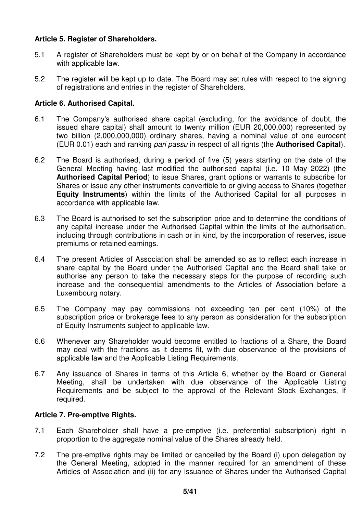# **Article 5. Register of Shareholders.**

- 5.1 A register of Shareholders must be kept by or on behalf of the Company in accordance with applicable law.
- 5.2 The register will be kept up to date. The Board may set rules with respect to the signing of registrations and entries in the register of Shareholders.

# **Article 6. Authorised Capital.**

- 6.1 The Company's authorised share capital (excluding, for the avoidance of doubt, the issued share capital) shall amount to twenty million (EUR 20,000,000) represented by two billion (2,000,000,000) ordinary shares, having a nominal value of one eurocent (EUR 0.01) each and ranking pari passu in respect of all rights (the **Authorised Capital**).
- 6.2 The Board is authorised, during a period of five (5) years starting on the date of the General Meeting having last modified the authorised capital (i.e. 10 May 2022) (the **Authorised Capital Period**) to issue Shares, grant options or warrants to subscribe for Shares or issue any other instruments convertible to or giving access to Shares (together **Equity Instruments**) within the limits of the Authorised Capital for all purposes in accordance with applicable law.
- 6.3 The Board is authorised to set the subscription price and to determine the conditions of any capital increase under the Authorised Capital within the limits of the authorisation, including through contributions in cash or in kind, by the incorporation of reserves, issue premiums or retained earnings.
- 6.4 The present Articles of Association shall be amended so as to reflect each increase in share capital by the Board under the Authorised Capital and the Board shall take or authorise any person to take the necessary steps for the purpose of recording such increase and the consequential amendments to the Articles of Association before a Luxembourg notary.
- 6.5 The Company may pay commissions not exceeding ten per cent (10%) of the subscription price or brokerage fees to any person as consideration for the subscription of Equity Instruments subject to applicable law.
- 6.6 Whenever any Shareholder would become entitled to fractions of a Share, the Board may deal with the fractions as it deems fit, with due observance of the provisions of applicable law and the Applicable Listing Requirements.
- 6.7 Any issuance of Shares in terms of this Article 6, whether by the Board or General Meeting, shall be undertaken with due observance of the Applicable Listing Requirements and be subject to the approval of the Relevant Stock Exchanges, if required.

### **Article 7. Pre-emptive Rights.**

- 7.1 Each Shareholder shall have a pre-emptive (i.e. preferential subscription) right in proportion to the aggregate nominal value of the Shares already held.
- 7.2 The pre-emptive rights may be limited or cancelled by the Board (i) upon delegation by the General Meeting, adopted in the manner required for an amendment of these Articles of Association and (ii) for any issuance of Shares under the Authorised Capital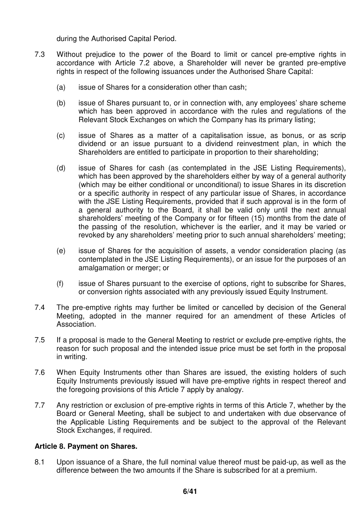during the Authorised Capital Period.

- 7.3 Without prejudice to the power of the Board to limit or cancel pre-emptive rights in accordance with Article 7.2 above, a Shareholder will never be granted pre-emptive rights in respect of the following issuances under the Authorised Share Capital:
	- (a) issue of Shares for a consideration other than cash;
	- (b) issue of Shares pursuant to, or in connection with, any employees' share scheme which has been approved in accordance with the rules and regulations of the Relevant Stock Exchanges on which the Company has its primary listing;
	- (c) issue of Shares as a matter of a capitalisation issue, as bonus, or as scrip dividend or an issue pursuant to a dividend reinvestment plan, in which the Shareholders are entitled to participate in proportion to their shareholding;
	- (d) issue of Shares for cash (as contemplated in the JSE Listing Requirements), which has been approved by the shareholders either by way of a general authority (which may be either conditional or unconditional) to issue Shares in its discretion or a specific authority in respect of any particular issue of Shares, in accordance with the JSE Listing Requirements, provided that if such approval is in the form of a general authority to the Board, it shall be valid only until the next annual shareholders' meeting of the Company or for fifteen (15) months from the date of the passing of the resolution, whichever is the earlier, and it may be varied or revoked by any shareholders' meeting prior to such annual shareholders' meeting;
	- (e) issue of Shares for the acquisition of assets, a vendor consideration placing (as contemplated in the JSE Listing Requirements), or an issue for the purposes of an amalgamation or merger; or
	- (f) issue of Shares pursuant to the exercise of options, right to subscribe for Shares, or conversion rights associated with any previously issued Equity Instrument.
- 7.4 The pre-emptive rights may further be limited or cancelled by decision of the General Meeting, adopted in the manner required for an amendment of these Articles of Association.
- 7.5 If a proposal is made to the General Meeting to restrict or exclude pre-emptive rights, the reason for such proposal and the intended issue price must be set forth in the proposal in writing.
- 7.6 When Equity Instruments other than Shares are issued, the existing holders of such Equity Instruments previously issued will have pre-emptive rights in respect thereof and the foregoing provisions of this Article 7 apply by analogy.
- 7.7 Any restriction or exclusion of pre-emptive rights in terms of this Article 7, whether by the Board or General Meeting, shall be subject to and undertaken with due observance of the Applicable Listing Requirements and be subject to the approval of the Relevant Stock Exchanges, if required.

### **Article 8. Payment on Shares.**

8.1 Upon issuance of a Share, the full nominal value thereof must be paid-up, as well as the difference between the two amounts if the Share is subscribed for at a premium.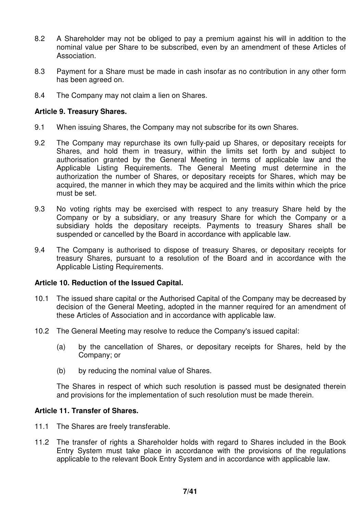- 8.2 A Shareholder may not be obliged to pay a premium against his will in addition to the nominal value per Share to be subscribed, even by an amendment of these Articles of Association.
- 8.3 Payment for a Share must be made in cash insofar as no contribution in any other form has been agreed on.
- 8.4 The Company may not claim a lien on Shares.

### **Article 9. Treasury Shares.**

- 9.1 When issuing Shares, the Company may not subscribe for its own Shares.
- 9.2 The Company may repurchase its own fully-paid up Shares, or depositary receipts for Shares, and hold them in treasury, within the limits set forth by and subject to authorisation granted by the General Meeting in terms of applicable law and the Applicable Listing Requirements. The General Meeting must determine in the authorization the number of Shares, or depositary receipts for Shares, which may be acquired, the manner in which they may be acquired and the limits within which the price must be set.
- 9.3 No voting rights may be exercised with respect to any treasury Share held by the Company or by a subsidiary, or any treasury Share for which the Company or a subsidiary holds the depositary receipts. Payments to treasury Shares shall be suspended or cancelled by the Board in accordance with applicable law.
- 9.4 The Company is authorised to dispose of treasury Shares, or depositary receipts for treasury Shares, pursuant to a resolution of the Board and in accordance with the Applicable Listing Requirements.

### **Article 10. Reduction of the Issued Capital.**

- 10.1 The issued share capital or the Authorised Capital of the Company may be decreased by decision of the General Meeting, adopted in the manner required for an amendment of these Articles of Association and in accordance with applicable law.
- 10.2 The General Meeting may resolve to reduce the Company's issued capital:
	- (a) by the cancellation of Shares, or depositary receipts for Shares, held by the Company; or
	- (b) by reducing the nominal value of Shares.

The Shares in respect of which such resolution is passed must be designated therein and provisions for the implementation of such resolution must be made therein.

### **Article 11. Transfer of Shares.**

- 11.1 The Shares are freely transferable.
- 11.2 The transfer of rights a Shareholder holds with regard to Shares included in the Book Entry System must take place in accordance with the provisions of the regulations applicable to the relevant Book Entry System and in accordance with applicable law.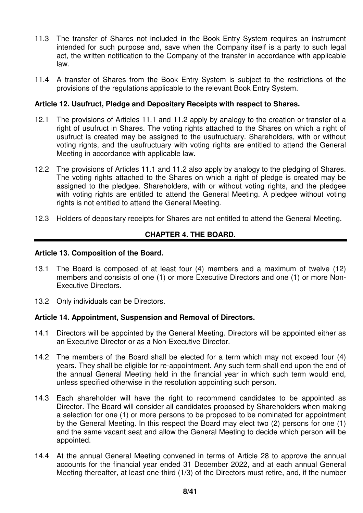- 11.3 The transfer of Shares not included in the Book Entry System requires an instrument intended for such purpose and, save when the Company itself is a party to such legal act, the written notification to the Company of the transfer in accordance with applicable law.
- 11.4 A transfer of Shares from the Book Entry System is subject to the restrictions of the provisions of the regulations applicable to the relevant Book Entry System.

# **Article 12. Usufruct, Pledge and Depositary Receipts with respect to Shares.**

- 12.1 The provisions of Articles 11.1 and 11.2 apply by analogy to the creation or transfer of a right of usufruct in Shares. The voting rights attached to the Shares on which a right of usufruct is created may be assigned to the usufructuary. Shareholders, with or without voting rights, and the usufructuary with voting rights are entitled to attend the General Meeting in accordance with applicable law.
- 12.2 The provisions of Articles 11.1 and 11.2 also apply by analogy to the pledging of Shares. The voting rights attached to the Shares on which a right of pledge is created may be assigned to the pledgee. Shareholders, with or without voting rights, and the pledgee with voting rights are entitled to attend the General Meeting. A pledgee without voting rights is not entitled to attend the General Meeting.
- 12.3 Holders of depositary receipts for Shares are not entitled to attend the General Meeting.

# **CHAPTER 4. THE BOARD.**

#### **Article 13. Composition of the Board.**

- 13.1 The Board is composed of at least four (4) members and a maximum of twelve (12) members and consists of one (1) or more Executive Directors and one (1) or more Non-Executive Directors.
- 13.2 Only individuals can be Directors.

### **Article 14. Appointment, Suspension and Removal of Directors.**

- 14.1 Directors will be appointed by the General Meeting. Directors will be appointed either as an Executive Director or as a Non-Executive Director.
- 14.2 The members of the Board shall be elected for a term which may not exceed four (4) years. They shall be eligible for re-appointment. Any such term shall end upon the end of the annual General Meeting held in the financial year in which such term would end, unless specified otherwise in the resolution appointing such person.
- 14.3 Each shareholder will have the right to recommend candidates to be appointed as Director. The Board will consider all candidates proposed by Shareholders when making a selection for one (1) or more persons to be proposed to be nominated for appointment by the General Meeting. In this respect the Board may elect two (2) persons for one (1) and the same vacant seat and allow the General Meeting to decide which person will be appointed.
- 14.4 At the annual General Meeting convened in terms of Article 28 to approve the annual accounts for the financial year ended 31 December 2022, and at each annual General Meeting thereafter, at least one-third (1/3) of the Directors must retire, and, if the number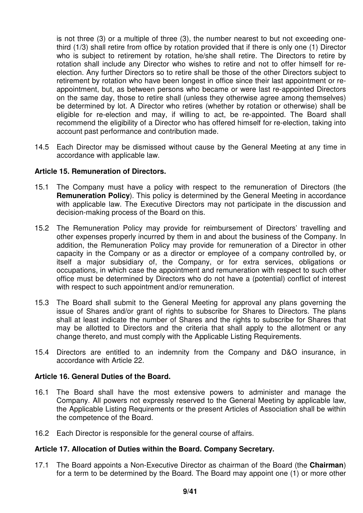is not three (3) or a multiple of three (3), the number nearest to but not exceeding onethird (1/3) shall retire from office by rotation provided that if there is only one (1) Director who is subject to retirement by rotation, he/she shall retire. The Directors to retire by rotation shall include any Director who wishes to retire and not to offer himself for reelection. Any further Directors so to retire shall be those of the other Directors subject to retirement by rotation who have been longest in office since their last appointment or reappointment, but, as between persons who became or were last re-appointed Directors on the same day, those to retire shall (unless they otherwise agree among themselves) be determined by lot. A Director who retires (whether by rotation or otherwise) shall be eligible for re-election and may, if willing to act, be re-appointed. The Board shall recommend the eligibility of a Director who has offered himself for re-election, taking into account past performance and contribution made.

14.5 Each Director may be dismissed without cause by the General Meeting at any time in accordance with applicable law.

### **Article 15. Remuneration of Directors.**

- 15.1 The Company must have a policy with respect to the remuneration of Directors (the **Remuneration Policy**). This policy is determined by the General Meeting in accordance with applicable law. The Executive Directors may not participate in the discussion and decision-making process of the Board on this.
- 15.2 The Remuneration Policy may provide for reimbursement of Directors' travelling and other expenses properly incurred by them in and about the business of the Company. In addition, the Remuneration Policy may provide for remuneration of a Director in other capacity in the Company or as a director or employee of a company controlled by, or itself a major subsidiary of, the Company, or for extra services, obligations or occupations, in which case the appointment and remuneration with respect to such other office must be determined by Directors who do not have a (potential) conflict of interest with respect to such appointment and/or remuneration.
- 15.3 The Board shall submit to the General Meeting for approval any plans governing the issue of Shares and/or grant of rights to subscribe for Shares to Directors. The plans shall at least indicate the number of Shares and the rights to subscribe for Shares that may be allotted to Directors and the criteria that shall apply to the allotment or any change thereto, and must comply with the Applicable Listing Requirements.
- 15.4 Directors are entitled to an indemnity from the Company and D&O insurance, in accordance with Article 22.

### **Article 16. General Duties of the Board.**

- 16.1 The Board shall have the most extensive powers to administer and manage the Company. All powers not expressly reserved to the General Meeting by applicable law, the Applicable Listing Requirements or the present Articles of Association shall be within the competence of the Board.
- 16.2 Each Director is responsible for the general course of affairs.

### **Article 17. Allocation of Duties within the Board. Company Secretary.**

17.1 The Board appoints a Non-Executive Director as chairman of the Board (the **Chairman**) for a term to be determined by the Board. The Board may appoint one (1) or more other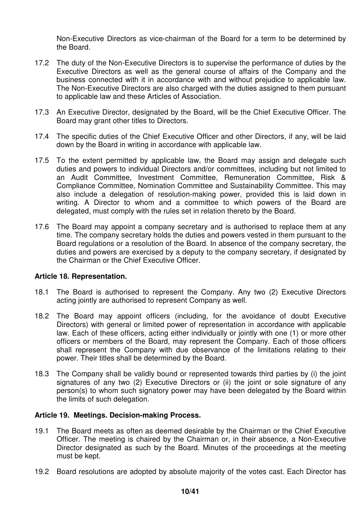Non-Executive Directors as vice-chairman of the Board for a term to be determined by the Board.

- 17.2 The duty of the Non-Executive Directors is to supervise the performance of duties by the Executive Directors as well as the general course of affairs of the Company and the business connected with it in accordance with and without prejudice to applicable law. The Non-Executive Directors are also charged with the duties assigned to them pursuant to applicable law and these Articles of Association.
- 17.3 An Executive Director, designated by the Board, will be the Chief Executive Officer. The Board may grant other titles to Directors.
- 17.4 The specific duties of the Chief Executive Officer and other Directors, if any, will be laid down by the Board in writing in accordance with applicable law.
- 17.5 To the extent permitted by applicable law, the Board may assign and delegate such duties and powers to individual Directors and/or committees, including but not limited to an Audit Committee, Investment Committee, Remuneration Committee, Risk & Compliance Committee, Nomination Committee and Sustainability Committee. This may also include a delegation of resolution-making power, provided this is laid down in writing. A Director to whom and a committee to which powers of the Board are delegated, must comply with the rules set in relation thereto by the Board.
- 17.6 The Board may appoint a company secretary and is authorised to replace them at any time. The company secretary holds the duties and powers vested in them pursuant to the Board regulations or a resolution of the Board. In absence of the company secretary, the duties and powers are exercised by a deputy to the company secretary, if designated by the Chairman or the Chief Executive Officer.

### **Article 18. Representation.**

- 18.1 The Board is authorised to represent the Company. Any two (2) Executive Directors acting jointly are authorised to represent Company as well.
- 18.2 The Board may appoint officers (including, for the avoidance of doubt Executive Directors) with general or limited power of representation in accordance with applicable law. Each of these officers, acting either individually or jointly with one (1) or more other officers or members of the Board, may represent the Company. Each of those officers shall represent the Company with due observance of the limitations relating to their power. Their titles shall be determined by the Board.
- 18.3 The Company shall be validly bound or represented towards third parties by (i) the joint signatures of any two (2) Executive Directors or (ii) the joint or sole signature of any person(s) to whom such signatory power may have been delegated by the Board within the limits of such delegation.

#### **Article 19. Meetings. Decision-making Process.**

- 19.1 The Board meets as often as deemed desirable by the Chairman or the Chief Executive Officer. The meeting is chaired by the Chairman or, in their absence, a Non-Executive Director designated as such by the Board. Minutes of the proceedings at the meeting must be kept.
- 19.2 Board resolutions are adopted by absolute majority of the votes cast. Each Director has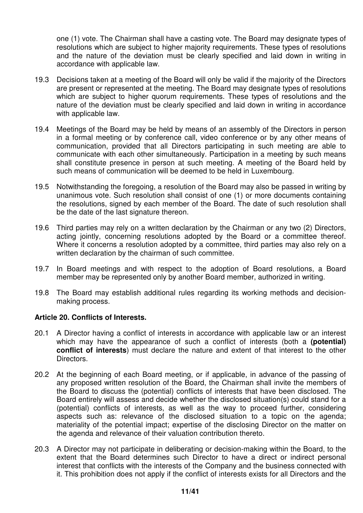one (1) vote. The Chairman shall have a casting vote. The Board may designate types of resolutions which are subject to higher majority requirements. These types of resolutions and the nature of the deviation must be clearly specified and laid down in writing in accordance with applicable law.

- 19.3 Decisions taken at a meeting of the Board will only be valid if the majority of the Directors are present or represented at the meeting. The Board may designate types of resolutions which are subject to higher quorum requirements. These types of resolutions and the nature of the deviation must be clearly specified and laid down in writing in accordance with applicable law.
- 19.4 Meetings of the Board may be held by means of an assembly of the Directors in person in a formal meeting or by conference call, video conference or by any other means of communication, provided that all Directors participating in such meeting are able to communicate with each other simultaneously. Participation in a meeting by such means shall constitute presence in person at such meeting. A meeting of the Board held by such means of communication will be deemed to be held in Luxembourg.
- 19.5 Notwithstanding the foregoing, a resolution of the Board may also be passed in writing by unanimous vote. Such resolution shall consist of one (1) or more documents containing the resolutions, signed by each member of the Board. The date of such resolution shall be the date of the last signature thereon.
- 19.6 Third parties may rely on a written declaration by the Chairman or any two (2) Directors, acting jointly, concerning resolutions adopted by the Board or a committee thereof. Where it concerns a resolution adopted by a committee, third parties may also rely on a written declaration by the chairman of such committee.
- 19.7 In Board meetings and with respect to the adoption of Board resolutions, a Board member may be represented only by another Board member, authorized in writing.
- 19.8 The Board may establish additional rules regarding its working methods and decisionmaking process.

### **Article 20. Conflicts of Interests.**

- 20.1 A Director having a conflict of interests in accordance with applicable law or an interest which may have the appearance of such a conflict of interests (both a **(potential) conflict of interests**) must declare the nature and extent of that interest to the other Directors.
- 20.2 At the beginning of each Board meeting, or if applicable, in advance of the passing of any proposed written resolution of the Board, the Chairman shall invite the members of the Board to discuss the (potential) conflicts of interests that have been disclosed. The Board entirely will assess and decide whether the disclosed situation(s) could stand for a (potential) conflicts of interests, as well as the way to proceed further, considering aspects such as: relevance of the disclosed situation to a topic on the agenda; materiality of the potential impact; expertise of the disclosing Director on the matter on the agenda and relevance of their valuation contribution thereto.
- 20.3 A Director may not participate in deliberating or decision-making within the Board, to the extent that the Board determines such Director to have a direct or indirect personal interest that conflicts with the interests of the Company and the business connected with it. This prohibition does not apply if the conflict of interests exists for all Directors and the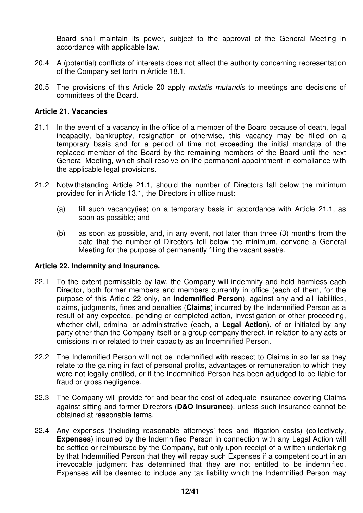Board shall maintain its power, subject to the approval of the General Meeting in accordance with applicable law.

- 20.4 A (potential) conflicts of interests does not affect the authority concerning representation of the Company set forth in Article 18.1.
- 20.5 The provisions of this Article 20 apply mutatis mutandis to meetings and decisions of committees of the Board.

#### **Article 21. Vacancies**

- 21.1 In the event of a vacancy in the office of a member of the Board because of death, legal incapacity, bankruptcy, resignation or otherwise, this vacancy may be filled on a temporary basis and for a period of time not exceeding the initial mandate of the replaced member of the Board by the remaining members of the Board until the next General Meeting, which shall resolve on the permanent appointment in compliance with the applicable legal provisions.
- 21.2 Notwithstanding Article 21.1, should the number of Directors fall below the minimum provided for in Article 13.1, the Directors in office must:
	- (a) fill such vacancy(ies) on a temporary basis in accordance with Article 21.1, as soon as possible; and
	- (b) as soon as possible, and, in any event, not later than three (3) months from the date that the number of Directors fell below the minimum, convene a General Meeting for the purpose of permanently filling the vacant seat/s.

### **Article 22. Indemnity and Insurance.**

- 22.1 To the extent permissible by law, the Company will indemnify and hold harmless each Director, both former members and members currently in office (each of them, for the purpose of this Article 22 only, an **Indemnified Person**), against any and all liabilities, claims, judgments, fines and penalties (**Claims**) incurred by the Indemnified Person as a result of any expected, pending or completed action, investigation or other proceeding, whether civil, criminal or administrative (each, a **Legal Action**), of or initiated by any party other than the Company itself or a group company thereof, in relation to any acts or omissions in or related to their capacity as an Indemnified Person.
- 22.2 The Indemnified Person will not be indemnified with respect to Claims in so far as they relate to the gaining in fact of personal profits, advantages or remuneration to which they were not legally entitled, or if the Indemnified Person has been adjudged to be liable for fraud or gross negligence.
- 22.3 The Company will provide for and bear the cost of adequate insurance covering Claims against sitting and former Directors (**D&O insurance**), unless such insurance cannot be obtained at reasonable terms.
- 22.4 Any expenses (including reasonable attorneys' fees and litigation costs) (collectively, **Expenses**) incurred by the Indemnified Person in connection with any Legal Action will be settled or reimbursed by the Company, but only upon receipt of a written undertaking by that Indemnified Person that they will repay such Expenses if a competent court in an irrevocable judgment has determined that they are not entitled to be indemnified. Expenses will be deemed to include any tax liability which the Indemnified Person may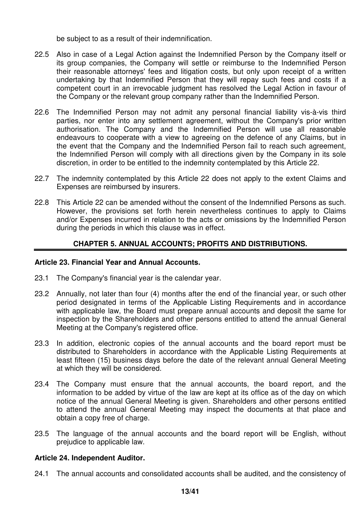be subject to as a result of their indemnification.

- 22.5 Also in case of a Legal Action against the Indemnified Person by the Company itself or its group companies, the Company will settle or reimburse to the Indemnified Person their reasonable attorneys' fees and litigation costs, but only upon receipt of a written undertaking by that Indemnified Person that they will repay such fees and costs if a competent court in an irrevocable judgment has resolved the Legal Action in favour of the Company or the relevant group company rather than the Indemnified Person.
- 22.6 The Indemnified Person may not admit any personal financial liability vis-à-vis third parties, nor enter into any settlement agreement, without the Company's prior written authorisation. The Company and the Indemnified Person will use all reasonable endeavours to cooperate with a view to agreeing on the defence of any Claims, but in the event that the Company and the Indemnified Person fail to reach such agreement, the Indemnified Person will comply with all directions given by the Company in its sole discretion, in order to be entitled to the indemnity contemplated by this Article 22.
- 22.7 The indemnity contemplated by this Article 22 does not apply to the extent Claims and Expenses are reimbursed by insurers.
- 22.8 This Article 22 can be amended without the consent of the Indemnified Persons as such. However, the provisions set forth herein nevertheless continues to apply to Claims and/or Expenses incurred in relation to the acts or omissions by the Indemnified Person during the periods in which this clause was in effect.

# **CHAPTER 5. ANNUAL ACCOUNTS; PROFITS AND DISTRIBUTIONS.**

#### **Article 23. Financial Year and Annual Accounts.**

- 23.1 The Company's financial year is the calendar year.
- 23.2 Annually, not later than four (4) months after the end of the financial year, or such other period designated in terms of the Applicable Listing Requirements and in accordance with applicable law, the Board must prepare annual accounts and deposit the same for inspection by the Shareholders and other persons entitled to attend the annual General Meeting at the Company's registered office.
- 23.3 In addition, electronic copies of the annual accounts and the board report must be distributed to Shareholders in accordance with the Applicable Listing Requirements at least fifteen (15) business days before the date of the relevant annual General Meeting at which they will be considered.
- 23.4 The Company must ensure that the annual accounts, the board report, and the information to be added by virtue of the law are kept at its office as of the day on which notice of the annual General Meeting is given. Shareholders and other persons entitled to attend the annual General Meeting may inspect the documents at that place and obtain a copy free of charge.
- 23.5 The language of the annual accounts and the board report will be English, without prejudice to applicable law.

#### **Article 24. Independent Auditor.**

24.1 The annual accounts and consolidated accounts shall be audited, and the consistency of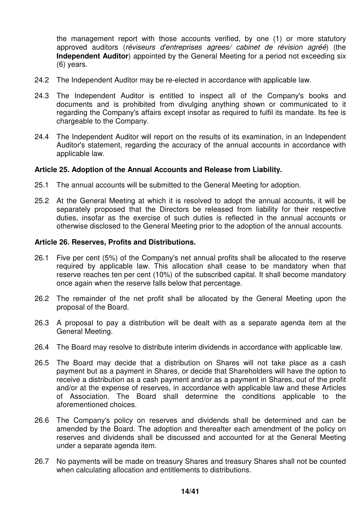the management report with those accounts verified, by one (1) or more statutory approved auditors (réviseurs d'entreprises agrees/ cabinet de révision agréé) (the **Independent Auditor**) appointed by the General Meeting for a period not exceeding six (6) years.

- 24.2 The Independent Auditor may be re-elected in accordance with applicable law.
- 24.3 The Independent Auditor is entitled to inspect all of the Company's books and documents and is prohibited from divulging anything shown or communicated to it regarding the Company's affairs except insofar as required to fulfil its mandate. Its fee is chargeable to the Company.
- 24.4 The Independent Auditor will report on the results of its examination, in an Independent Auditor's statement, regarding the accuracy of the annual accounts in accordance with applicable law.

#### **Article 25. Adoption of the Annual Accounts and Release from Liability.**

- 25.1 The annual accounts will be submitted to the General Meeting for adoption.
- 25.2 At the General Meeting at which it is resolved to adopt the annual accounts, it will be separately proposed that the Directors be released from liability for their respective duties, insofar as the exercise of such duties is reflected in the annual accounts or otherwise disclosed to the General Meeting prior to the adoption of the annual accounts.

#### **Article 26. Reserves, Profits and Distributions.**

- 26.1 Five per cent (5%) of the Company's net annual profits shall be allocated to the reserve required by applicable law. This allocation shall cease to be mandatory when that reserve reaches ten per cent (10%) of the subscribed capital. It shall become mandatory once again when the reserve falls below that percentage.
- 26.2 The remainder of the net profit shall be allocated by the General Meeting upon the proposal of the Board.
- 26.3 A proposal to pay a distribution will be dealt with as a separate agenda item at the General Meeting.
- 26.4 The Board may resolve to distribute interim dividends in accordance with applicable law.
- 26.5 The Board may decide that a distribution on Shares will not take place as a cash payment but as a payment in Shares, or decide that Shareholders will have the option to receive a distribution as a cash payment and/or as a payment in Shares, out of the profit and/or at the expense of reserves, in accordance with applicable law and these Articles of Association. The Board shall determine the conditions applicable to the aforementioned choices.
- 26.6 The Company's policy on reserves and dividends shall be determined and can be amended by the Board. The adoption and thereafter each amendment of the policy on reserves and dividends shall be discussed and accounted for at the General Meeting under a separate agenda item.
- 26.7 No payments will be made on treasury Shares and treasury Shares shall not be counted when calculating allocation and entitlements to distributions.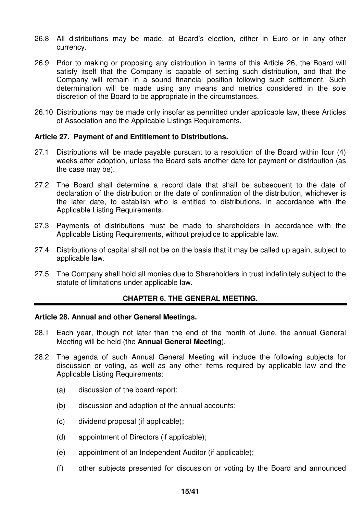- 26.8 All distributions may be made, at Board's election, either in Euro or in any other currency.
- 26.9 Prior to making or proposing any distribution in terms of this Article 26, the Board will satisfy itself that the Company is capable of settling such distribution, and that the Company will remain in a sound financial position following such settlement. Such determination will be made using any means and metrics considered in the sole discretion of the Board to be appropriate in the circumstances.
- 26.10 Distributions may be made only insofar as permitted under applicable law, these Articles of Association and the Applicable Listings Requirements.

### **Article 27. Payment of and Entitlement to Distributions.**

- 27.1 Distributions will be made payable pursuant to a resolution of the Board within four (4) weeks after adoption, unless the Board sets another date for payment or distribution (as the case may be).
- 27.2 The Board shall determine a record date that shall be subsequent to the date of declaration of the distribution or the date of confirmation of the distribution, whichever is the later date, to establish who is entitled to distributions, in accordance with the Applicable Listing Requirements.
- 27.3 Payments of distributions must be made to shareholders in accordance with the Applicable Listing Requirements, without prejudice to applicable law.
- 27.4 Distributions of capital shall not be on the basis that it may be called up again, subject to applicable law.
- 27.5 The Company shall hold all monies due to Shareholders in trust indefinitely subject to the statute of limitations under applicable law.

### **CHAPTER 6. THE GENERAL MEETING.**

#### **Article 28. Annual and other General Meetings.**

- 28.1 Each year, though not later than the end of the month of June, the annual General Meeting will be held (the **Annual General Meeting**).
- 28.2 The agenda of such Annual General Meeting will include the following subjects for discussion or voting, as well as any other items required by applicable law and the Applicable Listing Requirements:
	- (a) discussion of the board report;
	- (b) discussion and adoption of the annual accounts;
	- (c) dividend proposal (if applicable);
	- (d) appointment of Directors (if applicable);
	- (e) appointment of an Independent Auditor (if applicable);
	- (f) other subjects presented for discussion or voting by the Board and announced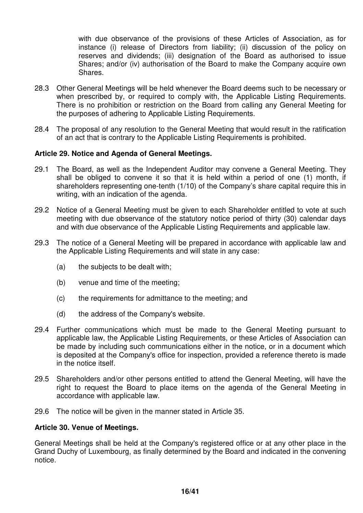with due observance of the provisions of these Articles of Association, as for instance (i) release of Directors from liability; (ii) discussion of the policy on reserves and dividends; (iii) designation of the Board as authorised to issue Shares; and/or (iv) authorisation of the Board to make the Company acquire own Shares.

- 28.3 Other General Meetings will be held whenever the Board deems such to be necessary or when prescribed by, or required to comply with, the Applicable Listing Requirements. There is no prohibition or restriction on the Board from calling any General Meeting for the purposes of adhering to Applicable Listing Requirements.
- 28.4 The proposal of any resolution to the General Meeting that would result in the ratification of an act that is contrary to the Applicable Listing Requirements is prohibited.

# **Article 29. Notice and Agenda of General Meetings.**

- 29.1 The Board, as well as the Independent Auditor may convene a General Meeting. They shall be obliged to convene it so that it is held within a period of one (1) month, if shareholders representing one-tenth (1/10) of the Company's share capital require this in writing, with an indication of the agenda.
- 29.2 Notice of a General Meeting must be given to each Shareholder entitled to vote at such meeting with due observance of the statutory notice period of thirty (30) calendar days and with due observance of the Applicable Listing Requirements and applicable law.
- 29.3 The notice of a General Meeting will be prepared in accordance with applicable law and the Applicable Listing Requirements and will state in any case:
	- (a) the subjects to be dealt with;
	- (b) venue and time of the meeting;
	- (c) the requirements for admittance to the meeting; and
	- (d) the address of the Company's website.
- 29.4 Further communications which must be made to the General Meeting pursuant to applicable law, the Applicable Listing Requirements, or these Articles of Association can be made by including such communications either in the notice, or in a document which is deposited at the Company's office for inspection, provided a reference thereto is made in the notice itself.
- 29.5 Shareholders and/or other persons entitled to attend the General Meeting, will have the right to request the Board to place items on the agenda of the General Meeting in accordance with applicable law.
- 29.6 The notice will be given in the manner stated in Article 35.

### **Article 30. Venue of Meetings.**

General Meetings shall be held at the Company's registered office or at any other place in the Grand Duchy of Luxembourg, as finally determined by the Board and indicated in the convening notice.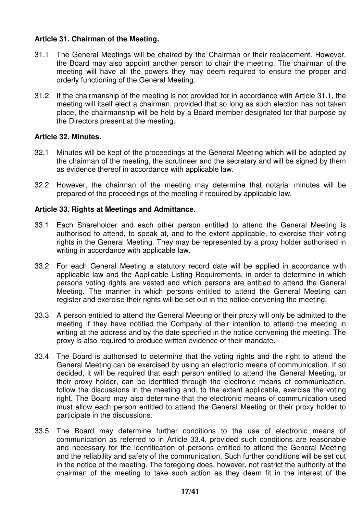# **Article 31. Chairman of the Meeting.**

- 31.1 The General Meetings will be chaired by the Chairman or their replacement. However, the Board may also appoint another person to chair the meeting. The chairman of the meeting will have all the powers they may deem required to ensure the proper and orderly functioning of the General Meeting.
- 31.2 If the chairmanship of the meeting is not provided for in accordance with Article 31.1, the meeting will itself elect a chairman, provided that so long as such election has not taken place, the chairmanship will be held by a Board member designated for that purpose by the Directors present at the meeting.

# **Article 32. Minutes.**

- 32.1 Minutes will be kept of the proceedings at the General Meeting which will be adopted by the chairman of the meeting, the scrutineer and the secretary and will be signed by them as evidence thereof in accordance with applicable law.
- 32.2 However, the chairman of the meeting may determine that notarial minutes will be prepared of the proceedings of the meeting if required by applicable law.

### **Article 33. Rights at Meetings and Admittance.**

- 33.1 Each Shareholder and each other person entitled to attend the General Meeting is authorised to attend, to speak at, and to the extent applicable, to exercise their voting rights in the General Meeting. They may be represented by a proxy holder authorised in writing in accordance with applicable law.
- 33.2 For each General Meeting a statutory record date will be applied in accordance with applicable law and the Applicable Listing Requirements, in order to determine in which persons voting rights are vested and which persons are entitled to attend the General Meeting. The manner in which persons entitled to attend the General Meeting can register and exercise their rights will be set out in the notice convening the meeting.
- 33.3 A person entitled to attend the General Meeting or their proxy will only be admitted to the meeting if they have notified the Company of their intention to attend the meeting in writing at the address and by the date specified in the notice convening the meeting. The proxy is also required to produce written evidence of their mandate.
- 33.4 The Board is authorised to determine that the voting rights and the right to attend the General Meeting can be exercised by using an electronic means of communication. If so decided, it will be required that each person entitled to attend the General Meeting, or their proxy holder, can be identified through the electronic means of communication, follow the discussions in the meeting and, to the extent applicable, exercise the voting right. The Board may also determine that the electronic means of communication used must allow each person entitled to attend the General Meeting or their proxy holder to participate in the discussions.
- 33.5 The Board may determine further conditions to the use of electronic means of communication as referred to in Article 33.4, provided such conditions are reasonable and necessary for the identification of persons entitled to attend the General Meeting and the reliability and safety of the communication. Such further conditions will be set out in the notice of the meeting. The foregoing does, however, not restrict the authority of the chairman of the meeting to take such action as they deem fit in the interest of the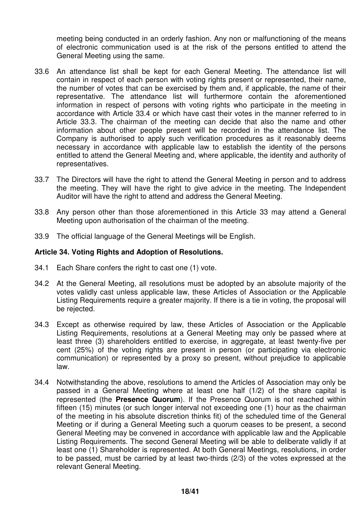meeting being conducted in an orderly fashion. Any non or malfunctioning of the means of electronic communication used is at the risk of the persons entitled to attend the General Meeting using the same.

- 33.6 An attendance list shall be kept for each General Meeting. The attendance list will contain in respect of each person with voting rights present or represented, their name, the number of votes that can be exercised by them and, if applicable, the name of their representative. The attendance list will furthermore contain the aforementioned information in respect of persons with voting rights who participate in the meeting in accordance with Article 33.4 or which have cast their votes in the manner referred to in Article 33.3. The chairman of the meeting can decide that also the name and other information about other people present will be recorded in the attendance list. The Company is authorised to apply such verification procedures as it reasonably deems necessary in accordance with applicable law to establish the identity of the persons entitled to attend the General Meeting and, where applicable, the identity and authority of representatives.
- 33.7 The Directors will have the right to attend the General Meeting in person and to address the meeting. They will have the right to give advice in the meeting. The Independent Auditor will have the right to attend and address the General Meeting.
- 33.8 Any person other than those aforementioned in this Article 33 may attend a General Meeting upon authorisation of the chairman of the meeting.
- 33.9 The official language of the General Meetings will be English.

#### **Article 34. Voting Rights and Adoption of Resolutions.**

- 34.1 Each Share confers the right to cast one (1) vote.
- 34.2 At the General Meeting, all resolutions must be adopted by an absolute majority of the votes validly cast unless applicable law, these Articles of Association or the Applicable Listing Requirements require a greater majority. If there is a tie in voting, the proposal will be rejected.
- 34.3 Except as otherwise required by law, these Articles of Association or the Applicable Listing Requirements, resolutions at a General Meeting may only be passed where at least three (3) shareholders entitled to exercise, in aggregate, at least twenty-five per cent (25%) of the voting rights are present in person (or participating via electronic communication) or represented by a proxy so present, without prejudice to applicable law.
- 34.4 Notwithstanding the above, resolutions to amend the Articles of Association may only be passed in a General Meeting where at least one half (1/2) of the share capital is represented (the **Presence Quorum**). If the Presence Quorum is not reached within fifteen (15) minutes (or such longer interval not exceeding one (1) hour as the chairman of the meeting in his absolute discretion thinks fit) of the scheduled time of the General Meeting or if during a General Meeting such a quorum ceases to be present, a second General Meeting may be convened in accordance with applicable law and the Applicable Listing Requirements. The second General Meeting will be able to deliberate validly if at least one (1) Shareholder is represented. At both General Meetings, resolutions, in order to be passed, must be carried by at least two-thirds (2/3) of the votes expressed at the relevant General Meeting.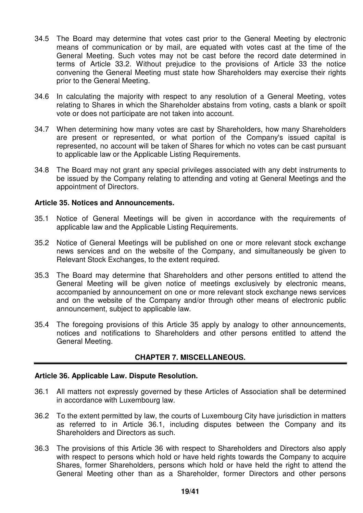- 34.5 The Board may determine that votes cast prior to the General Meeting by electronic means of communication or by mail, are equated with votes cast at the time of the General Meeting. Such votes may not be cast before the record date determined in terms of Article 33.2. Without prejudice to the provisions of Article 33 the notice convening the General Meeting must state how Shareholders may exercise their rights prior to the General Meeting.
- 34.6 In calculating the majority with respect to any resolution of a General Meeting, votes relating to Shares in which the Shareholder abstains from voting, casts a blank or spoilt vote or does not participate are not taken into account.
- 34.7 When determining how many votes are cast by Shareholders, how many Shareholders are present or represented, or what portion of the Company's issued capital is represented, no account will be taken of Shares for which no votes can be cast pursuant to applicable law or the Applicable Listing Requirements.
- 34.8 The Board may not grant any special privileges associated with any debt instruments to be issued by the Company relating to attending and voting at General Meetings and the appointment of Directors.

#### **Article 35. Notices and Announcements.**

- 35.1 Notice of General Meetings will be given in accordance with the requirements of applicable law and the Applicable Listing Requirements.
- 35.2 Notice of General Meetings will be published on one or more relevant stock exchange news services and on the website of the Company, and simultaneously be given to Relevant Stock Exchanges, to the extent required.
- 35.3 The Board may determine that Shareholders and other persons entitled to attend the General Meeting will be given notice of meetings exclusively by electronic means, accompanied by announcement on one or more relevant stock exchange news services and on the website of the Company and/or through other means of electronic public announcement, subject to applicable law.
- 35.4 The foregoing provisions of this Article 35 apply by analogy to other announcements, notices and notifications to Shareholders and other persons entitled to attend the General Meeting.

### **CHAPTER 7. MISCELLANEOUS.**

#### **Article 36. Applicable Law. Dispute Resolution.**

- 36.1 All matters not expressly governed by these Articles of Association shall be determined in accordance with Luxembourg law.
- 36.2 To the extent permitted by law, the courts of Luxembourg City have jurisdiction in matters as referred to in Article 36.1, including disputes between the Company and its Shareholders and Directors as such.
- 36.3 The provisions of this Article 36 with respect to Shareholders and Directors also apply with respect to persons which hold or have held rights towards the Company to acquire Shares, former Shareholders, persons which hold or have held the right to attend the General Meeting other than as a Shareholder, former Directors and other persons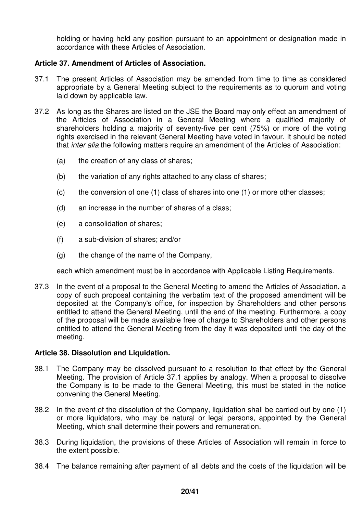holding or having held any position pursuant to an appointment or designation made in accordance with these Articles of Association.

# **Article 37. Amendment of Articles of Association.**

- 37.1 The present Articles of Association may be amended from time to time as considered appropriate by a General Meeting subject to the requirements as to quorum and voting laid down by applicable law.
- 37.2 As long as the Shares are listed on the JSE the Board may only effect an amendment of the Articles of Association in a General Meeting where a qualified majority of shareholders holding a majority of seventy-five per cent (75%) or more of the voting rights exercised in the relevant General Meeting have voted in favour. It should be noted that inter alia the following matters require an amendment of the Articles of Association:
	- (a) the creation of any class of shares;
	- (b) the variation of any rights attached to any class of shares;
	- (c) the conversion of one (1) class of shares into one (1) or more other classes;
	- (d) an increase in the number of shares of a class;
	- (e) a consolidation of shares;
	- (f) a sub-division of shares; and/or
	- (g) the change of the name of the Company,

each which amendment must be in accordance with Applicable Listing Requirements.

37.3 In the event of a proposal to the General Meeting to amend the Articles of Association, a copy of such proposal containing the verbatim text of the proposed amendment will be deposited at the Company's office, for inspection by Shareholders and other persons entitled to attend the General Meeting, until the end of the meeting. Furthermore, a copy of the proposal will be made available free of charge to Shareholders and other persons entitled to attend the General Meeting from the day it was deposited until the day of the meeting.

#### **Article 38. Dissolution and Liquidation.**

- 38.1 The Company may be dissolved pursuant to a resolution to that effect by the General Meeting. The provision of Article 37.1 applies by analogy. When a proposal to dissolve the Company is to be made to the General Meeting, this must be stated in the notice convening the General Meeting.
- 38.2 In the event of the dissolution of the Company, liquidation shall be carried out by one (1) or more liquidators, who may be natural or legal persons, appointed by the General Meeting, which shall determine their powers and remuneration.
- 38.3 During liquidation, the provisions of these Articles of Association will remain in force to the extent possible.
- 38.4 The balance remaining after payment of all debts and the costs of the liquidation will be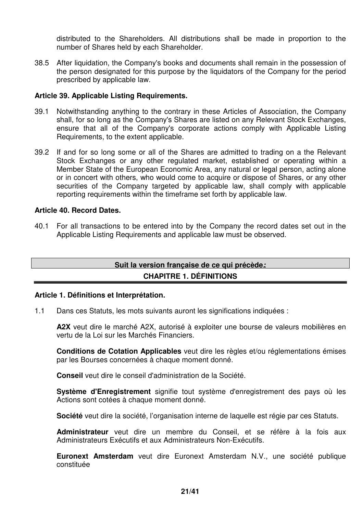distributed to the Shareholders. All distributions shall be made in proportion to the number of Shares held by each Shareholder.

38.5 After liquidation, the Company's books and documents shall remain in the possession of the person designated for this purpose by the liquidators of the Company for the period prescribed by applicable law.

### **Article 39. Applicable Listing Requirements.**

- 39.1 Notwithstanding anything to the contrary in these Articles of Association, the Company shall, for so long as the Company's Shares are listed on any Relevant Stock Exchanges, ensure that all of the Company's corporate actions comply with Applicable Listing Requirements, to the extent applicable.
- 39.2 If and for so long some or all of the Shares are admitted to trading on a the Relevant Stock Exchanges or any other regulated market, established or operating within a Member State of the European Economic Area, any natural or legal person, acting alone or in concert with others, who would come to acquire or dispose of Shares, or any other securities of the Company targeted by applicable law, shall comply with applicable reporting requirements within the timeframe set forth by applicable law.

### **Article 40. Record Dates.**

40.1 For all transactions to be entered into by the Company the record dates set out in the Applicable Listing Requirements and applicable law must be observed.

# **Suit la version française de ce qui précède: CHAPITRE 1. DÉFINITIONS**

#### **Article 1. Définitions et Interprétation.**

1.1 Dans ces Statuts, les mots suivants auront les significations indiquées :

**A2X** veut dire le marché A2X, autorisé à exploiter une bourse de valeurs mobilières en vertu de la Loi sur les Marchés Financiers.

**Conditions de Cotation Applicables** veut dire les règles et/ou réglementations émises par les Bourses concernées à chaque moment donné.

**Conseil** veut dire le conseil d'administration de la Société.

**Système d'Enregistrement** signifie tout système d'enregistrement des pays où les Actions sont cotées à chaque moment donné.

**Société** veut dire la société, l'organisation interne de laquelle est régie par ces Statuts.

**Administrateur** veut dire un membre du Conseil, et se réfère à la fois aux Administrateurs Exécutifs et aux Administrateurs Non-Exécutifs.

**Euronext Amsterdam** veut dire Euronext Amsterdam N.V., une société publique constituée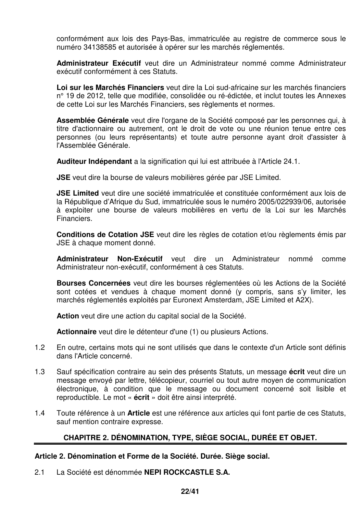conformément aux lois des Pays-Bas, immatriculée au registre de commerce sous le numéro 34138585 et autorisée à opérer sur les marchés réglementés.

**Administrateur Exécutif** veut dire un Administrateur nommé comme Administrateur exécutif conformément à ces Statuts.

**Loi sur les Marchés Financiers** veut dire la Loi sud-africaine sur les marchés financiers n° 19 de 2012, telle que modifiée, consolidée ou ré-édictée, et inclut toutes les Annexes de cette Loi sur les Marchés Financiers, ses règlements et normes.

**Assemblée Générale** veut dire l'organe de la Société composé par les personnes qui, à titre d'actionnaire ou autrement, ont le droit de vote ou une réunion tenue entre ces personnes (ou leurs représentants) et toute autre personne ayant droit d'assister à l'Assemblée Générale.

**Auditeur Indépendant** a la signification qui lui est attribuée à l'Article 24.1.

**JSE** veut dire la bourse de valeurs mobilières gérée par JSE Limited.

**JSE Limited** veut dire une société immatriculée et constituée conformément aux lois de la République d'Afrique du Sud, immatriculée sous le numéro 2005/022939/06, autorisée à exploiter une bourse de valeurs mobilières en vertu de la Loi sur les Marchés Financiers.

**Conditions de Cotation JSE** veut dire les règles de cotation et/ou règlements émis par JSE à chaque moment donné.

**Administrateur Non-Exécutif** veut dire un Administrateur nommé comme Administrateur non-exécutif, conformément à ces Statuts.

**Bourses Concernées** veut dire les bourses réglementées où les Actions de la Société sont cotées et vendues à chaque moment donné (y compris, sans s'y limiter, les marchés réglementés exploités par Euronext Amsterdam, JSE Limited et A2X).

**Action** veut dire une action du capital social de la Société.

**Actionnaire** veut dire le détenteur d'une (1) ou plusieurs Actions.

- 1.2 En outre, certains mots qui ne sont utilisés que dans le contexte d'un Article sont définis dans l'Article concerné.
- 1.3 Sauf spécification contraire au sein des présents Statuts, un message **écrit** veut dire un message envoyé par lettre, télécopieur, courriel ou tout autre moyen de communication électronique, à condition que le message ou document concerné soit lisible et reproductible. Le mot « **écrit** » doit être ainsi interprété.
- 1.4 Toute référence à un **Article** est une référence aux articles qui font partie de ces Statuts, sauf mention contraire expresse.

# **CHAPITRE 2. DÉNOMINATION, TYPE, SIÈGE SOCIAL, DURÉE ET OBJET.**

### **Article 2. Dénomination et Forme de la Société. Durée. Siège social.**

2.1 La Société est dénommée **NEPI ROCKCASTLE S.A.**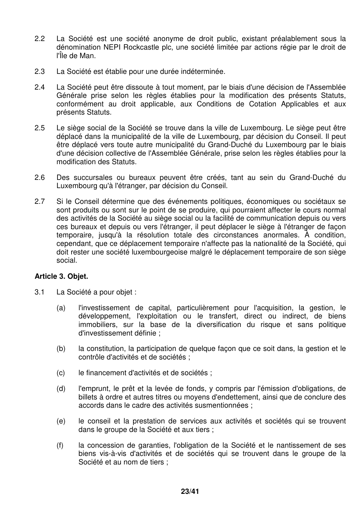- 2.2 La Société est une société anonyme de droit public, existant préalablement sous la dénomination NEPI Rockcastle plc, une société limitée par actions régie par le droit de l'Île de Man.
- 2.3 La Société est établie pour une durée indéterminée.
- 2.4 La Société peut être dissoute à tout moment, par le biais d'une décision de l'Assemblée Générale prise selon les règles établies pour la modification des présents Statuts, conformément au droit applicable, aux Conditions de Cotation Applicables et aux présents Statuts.
- 2.5 Le siège social de la Société se trouve dans la ville de Luxembourg. Le siège peut être déplacé dans la municipalité de la ville de Luxembourg, par décision du Conseil. Il peut être déplacé vers toute autre municipalité du Grand-Duché du Luxembourg par le biais d'une décision collective de l'Assemblée Générale, prise selon les règles établies pour la modification des Statuts.
- 2.6 Des succursales ou bureaux peuvent être créés, tant au sein du Grand-Duché du Luxembourg qu'à l'étranger, par décision du Conseil.
- 2.7 Si le Conseil détermine que des événements politiques, économiques ou sociétaux se sont produits ou sont sur le point de se produire, qui pourraient affecter le cours normal des activités de la Société au siège social ou la facilité de communication depuis ou vers ces bureaux et depuis ou vers l'étranger, il peut déplacer le siège à l'étranger de façon temporaire, jusqu'à la résolution totale des circonstances anormales. À condition, cependant, que ce déplacement temporaire n'affecte pas la nationalité de la Société, qui doit rester une société luxembourgeoise malgré le déplacement temporaire de son siège social.

### **Article 3. Objet.**

- 3.1 La Société a pour objet :
	- (a) l'investissement de capital, particulièrement pour l'acquisition, la gestion, le développement, l'exploitation ou le transfert, direct ou indirect, de biens immobiliers, sur la base de la diversification du risque et sans politique d'investissement définie ;
	- (b) la constitution, la participation de quelque façon que ce soit dans, la gestion et le contrôle d'activités et de sociétés ;
	- (c) le financement d'activités et de sociétés ;
	- (d) l'emprunt, le prêt et la levée de fonds, y compris par l'émission d'obligations, de billets à ordre et autres titres ou moyens d'endettement, ainsi que de conclure des accords dans le cadre des activités susmentionnées ;
	- (e) le conseil et la prestation de services aux activités et sociétés qui se trouvent dans le groupe de la Société et aux tiers ;
	- (f) la concession de garanties, l'obligation de la Société et le nantissement de ses biens vis-à-vis d'activités et de sociétés qui se trouvent dans le groupe de la Société et au nom de tiers ;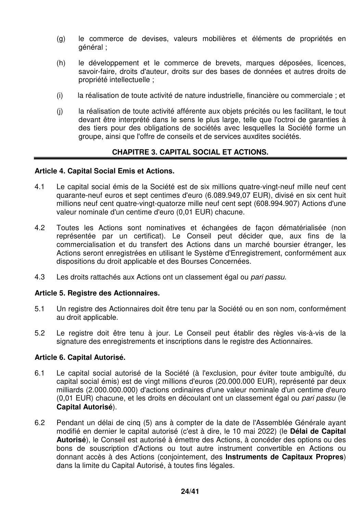- (g) le commerce de devises, valeurs mobilières et éléments de propriétés en général ;
- (h) le développement et le commerce de brevets, marques déposées, licences, savoir-faire, droits d'auteur, droits sur des bases de données et autres droits de propriété intellectuelle ;
- (i) la réalisation de toute activité de nature industrielle, financière ou commerciale ; et
- (j) la réalisation de toute activité afférente aux objets précités ou les facilitant, le tout devant être interprété dans le sens le plus large, telle que l'octroi de garanties à des tiers pour des obligations de sociétés avec lesquelles la Société forme un groupe, ainsi que l'offre de conseils et de services auxdites sociétés.

# **CHAPITRE 3. CAPITAL SOCIAL ET ACTIONS.**

# **Article 4. Capital Social Emis et Actions.**

- 4.1 Le capital social émis de la Société est de six millions quatre-vingt-neuf mille neuf cent quarante-neuf euros et sept centimes d'euro (6.089.949,07 EUR), divisé en six cent huit millions neuf cent quatre-vingt-quatorze mille neuf cent sept (608.994.907) Actions d'une valeur nominale d'un centime d'euro (0,01 EUR) chacune.
- 4.2 Toutes les Actions sont nominatives et échangées de façon dématérialisée (non représentée par un certificat). Le Conseil peut décider que, aux fins de la commercialisation et du transfert des Actions dans un marché boursier étranger, les Actions seront enregistrées en utilisant le Système d'Enregistrement, conformément aux dispositions du droit applicable et des Bourses Concernées.
- 4.3 Les droits rattachés aux Actions ont un classement égal ou pari passu.

### **Article 5. Registre des Actionnaires.**

- 5.1 Un registre des Actionnaires doit être tenu par la Société ou en son nom, conformément au droit applicable.
- 5.2 Le registre doit être tenu à jour. Le Conseil peut établir des règles vis-à-vis de la signature des enregistrements et inscriptions dans le registre des Actionnaires.

### **Article 6. Capital Autorisé.**

- 6.1 Le capital social autorisé de la Société (à l'exclusion, pour éviter toute ambiguïté, du capital social émis) est de vingt millions d'euros (20.000.000 EUR), représenté par deux milliards (2.000.000.000) d'actions ordinaires d'une valeur nominale d'un centime d'euro (0,01 EUR) chacune, et les droits en découlant ont un classement égal ou pari passu (le **Capital Autorisé**).
- 6.2 Pendant un délai de cinq (5) ans à compter de la date de l'Assemblée Générale ayant modifié en dernier le capital autorisé (c'est à dire, le 10 mai 2022) (le **Délai de Capital Autorisé**), le Conseil est autorisé à émettre des Actions, à concéder des options ou des bons de souscription d'Actions ou tout autre instrument convertible en Actions ou donnant accès à des Actions (conjointement, des **Instruments de Capitaux Propres**) dans la limite du Capital Autorisé, à toutes fins légales.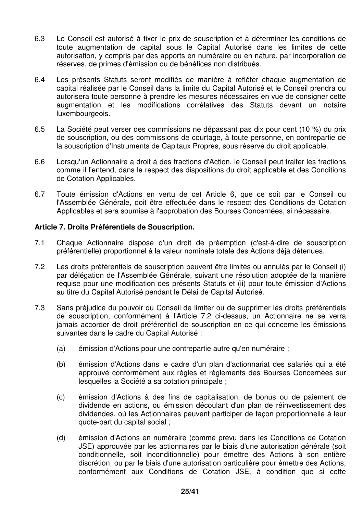- 6.3 Le Conseil est autorisé à fixer le prix de souscription et à déterminer les conditions de toute augmentation de capital sous le Capital Autorisé dans les limites de cette autorisation, y compris par des apports en numéraire ou en nature, par incorporation de réserves, de primes d'émission ou de bénéfices non distribués.
- 6.4 Les présents Statuts seront modifiés de manière à refléter chaque augmentation de capital réalisée par le Conseil dans la limite du Capital Autorisé et le Conseil prendra ou autorisera toute personne à prendre les mesures nécessaires en vue de consigner cette augmentation et les modifications corrélatives des Statuts devant un notaire luxembourgeois.
- 6.5 La Société peut verser des commissions ne dépassant pas dix pour cent (10 %) du prix de souscription, ou des commissions de courtage, à toute personne, en contrepartie de la souscription d'Instruments de Capitaux Propres, sous réserve du droit applicable.
- 6.6 Lorsqu'un Actionnaire a droit à des fractions d'Action, le Conseil peut traiter les fractions comme il l'entend, dans le respect des dispositions du droit applicable et des Conditions de Cotation Applicables.
- 6.7 Toute émission d'Actions en vertu de cet Article 6, que ce soit par le Conseil ou l'Assemblée Générale, doit être effectuée dans le respect des Conditions de Cotation Applicables et sera soumise à l'approbation des Bourses Concernées, si nécessaire.

### **Article 7. Droits Préférentiels de Souscription.**

- 7.1 Chaque Actionnaire dispose d'un droit de préemption (c'est-à-dire de souscription préférentielle) proportionnel à la valeur nominale totale des Actions déjà détenues.
- 7.2 Les droits préférentiels de souscription peuvent être limités ou annulés par le Conseil (i) par délégation de l'Assemblée Générale, suivant une résolution adoptée de la manière requise pour une modification des présents Statuts et (ii) pour toute émission d'Actions au titre du Capital Autorisé pendant le Délai de Capital Autorisé.
- 7.3 Sans préjudice du pouvoir du Conseil de limiter ou de supprimer les droits préférentiels de souscription, conformément à l'Article 7.2 ci-dessus, un Actionnaire ne se verra jamais accorder de droit préférentiel de souscription en ce qui concerne les émissions suivantes dans le cadre du Capital Autorisé :
	- (a) émission d'Actions pour une contrepartie autre qu'en numéraire ;
	- (b) émission d'Actions dans le cadre d'un plan d'actionnariat des salariés qui a été approuvé conformément aux règles et règlements des Bourses Concernées sur lesquelles la Société a sa cotation principale ;
	- (c) émission d'Actions à des fins de capitalisation, de bonus ou de paiement de dividende en actions, ou émission découlant d'un plan de réinvestissement des dividendes, où les Actionnaires peuvent participer de façon proportionnelle à leur quote-part du capital social ;
	- (d) émission d'Actions en numéraire (comme prévu dans les Conditions de Cotation JSE) approuvée par les actionnaires par le biais d'une autorisation générale (soit conditionnelle, soit inconditionnelle) pour émettre des Actions à son entière discrétion, ou par le biais d'une autorisation particulière pour émettre des Actions, conformément aux Conditions de Cotation JSE, à condition que si cette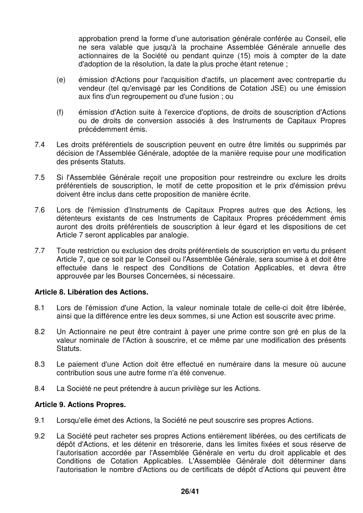approbation prend la forme d'une autorisation générale conférée au Conseil, elle ne sera valable que jusqu'à la prochaine Assemblée Générale annuelle des actionnaires de la Société ou pendant quinze (15) mois à compter de la date d'adoption de la résolution, la date la plus proche étant retenue ;

- (e) émission d'Actions pour l'acquisition d'actifs, un placement avec contrepartie du vendeur (tel qu'envisagé par les Conditions de Cotation JSE) ou une émission aux fins d'un regroupement ou d'une fusion ; ou
- (f) émission d'Action suite à l'exercice d'options, de droits de souscription d'Actions ou de droits de conversion associés à des Instruments de Capitaux Propres précédemment émis.
- 7.4 Les droits préférentiels de souscription peuvent en outre être limités ou supprimés par décision de l'Assemblée Générale, adoptée de la manière requise pour une modification des présents Statuts.
- 7.5 Si l'Assemblée Générale reçoit une proposition pour restreindre ou exclure les droits préférentiels de souscription, le motif de cette proposition et le prix d'émission prévu doivent être inclus dans cette proposition de manière écrite.
- 7.6 Lors de l'émission d'Instruments de Capitaux Propres autres que des Actions, les détenteurs existants de ces Instruments de Capitaux Propres précédemment émis auront des droits préférentiels de souscription à leur égard et les dispositions de cet Article 7 seront applicables par analogie.
- 7.7 Toute restriction ou exclusion des droits préférentiels de souscription en vertu du présent Article 7, que ce soit par le Conseil ou l'Assemblée Générale, sera soumise à et doit être effectuée dans le respect des Conditions de Cotation Applicables, et devra être approuvée par les Bourses Concernées, si nécessaire.

### **Article 8. Libération des Actions.**

- 8.1 Lors de l'émission d'une Action, la valeur nominale totale de celle-ci doit être libérée, ainsi que la différence entre les deux sommes, si une Action est souscrite avec prime.
- 8.2 Un Actionnaire ne peut être contraint à payer une prime contre son gré en plus de la valeur nominale de l'Action à souscrire, et ce même par une modification des présents Statuts.
- 8.3 Le paiement d'une Action doit être effectué en numéraire dans la mesure où aucune contribution sous une autre forme n'a été convenue.
- 8.4 La Société ne peut prétendre à aucun privilège sur les Actions.

#### **Article 9. Actions Propres.**

- 9.1 Lorsqu'elle émet des Actions, la Société ne peut souscrire ses propres Actions.
- 9.2 La Société peut racheter ses propres Actions entièrement libérées, ou des certificats de dépôt d'Actions, et les détenir en trésorerie, dans les limites fixées et sous réserve de l'autorisation accordée par l'Assemblée Générale en vertu du droit applicable et des Conditions de Cotation Applicables. L'Assemblée Générale doit déterminer dans l'autorisation le nombre d'Actions ou de certificats de dépôt d'Actions qui peuvent être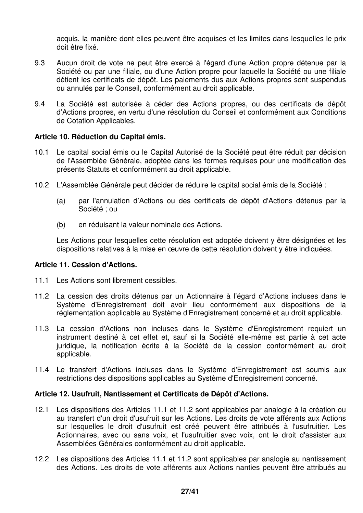acquis, la manière dont elles peuvent être acquises et les limites dans lesquelles le prix doit être fixé.

- 9.3 Aucun droit de vote ne peut être exercé à l'égard d'une Action propre détenue par la Société ou par une filiale, ou d'une Action propre pour laquelle la Société ou une filiale détient les certificats de dépôt. Les paiements dus aux Actions propres sont suspendus ou annulés par le Conseil, conformément au droit applicable.
- 9.4 La Société est autorisée à céder des Actions propres, ou des certificats de dépôt d'Actions propres, en vertu d'une résolution du Conseil et conformément aux Conditions de Cotation Applicables.

### **Article 10. Réduction du Capital émis.**

- 10.1 Le capital social émis ou le Capital Autorisé de la Société peut être réduit par décision de l'Assemblée Générale, adoptée dans les formes requises pour une modification des présents Statuts et conformément au droit applicable.
- 10.2 L'Assemblée Générale peut décider de réduire le capital social émis de la Société :
	- (a) par l'annulation d'Actions ou des certificats de dépôt d'Actions détenus par la Société ; ou
	- (b) en réduisant la valeur nominale des Actions.

Les Actions pour lesquelles cette résolution est adoptée doivent y être désignées et les dispositions relatives à la mise en œuvre de cette résolution doivent y être indiquées.

### **Article 11. Cession d'Actions.**

- 11.1 Les Actions sont librement cessibles.
- 11.2 La cession des droits détenus par un Actionnaire à l'égard d'Actions incluses dans le Système d'Enregistrement doit avoir lieu conformément aux dispositions de la réglementation applicable au Système d'Enregistrement concerné et au droit applicable.
- 11.3 La cession d'Actions non incluses dans le Système d'Enregistrement requiert un instrument destiné à cet effet et, sauf si la Société elle-même est partie à cet acte juridique, la notification écrite à la Société de la cession conformément au droit applicable.
- 11.4 Le transfert d'Actions incluses dans le Système d'Enregistrement est soumis aux restrictions des dispositions applicables au Système d'Enregistrement concerné.

### **Article 12. Usufruit, Nantissement et Certificats de Dépôt d'Actions.**

- 12.1 Les dispositions des Articles 11.1 et 11.2 sont applicables par analogie à la création ou au transfert d'un droit d'usufruit sur les Actions. Les droits de vote afférents aux Actions sur lesquelles le droit d'usufruit est créé peuvent être attribués à l'usufruitier. Les Actionnaires, avec ou sans voix, et l'usufruitier avec voix, ont le droit d'assister aux Assemblées Générales conformément au droit applicable.
- 12.2 Les dispositions des Articles 11.1 et 11.2 sont applicables par analogie au nantissement des Actions. Les droits de vote afférents aux Actions nanties peuvent être attribués au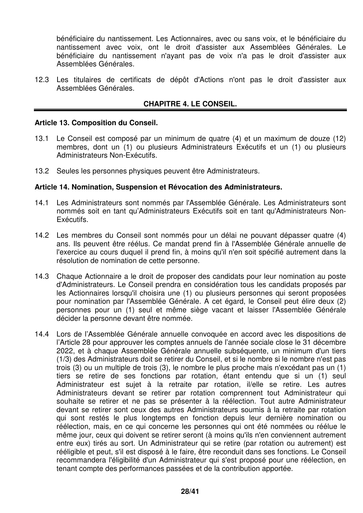bénéficiaire du nantissement. Les Actionnaires, avec ou sans voix, et le bénéficiaire du nantissement avec voix, ont le droit d'assister aux Assemblées Générales. Le bénéficiaire du nantissement n'ayant pas de voix n'a pas le droit d'assister aux Assemblées Générales.

12.3 Les titulaires de certificats de dépôt d'Actions n'ont pas le droit d'assister aux Assemblées Générales.

# **CHAPITRE 4. LE CONSEIL.**

#### **Article 13. Composition du Conseil.**

- 13.1 Le Conseil est composé par un minimum de quatre (4) et un maximum de douze (12) membres, dont un (1) ou plusieurs Administrateurs Exécutifs et un (1) ou plusieurs Administrateurs Non-Exécutifs.
- 13.2 Seules les personnes physiques peuvent être Administrateurs.

### **Article 14. Nomination, Suspension et Révocation des Administrateurs.**

- 14.1 Les Administrateurs sont nommés par l'Assemblée Générale. Les Administrateurs sont nommés soit en tant qu'Administrateurs Exécutifs soit en tant qu'Administrateurs Non-Exécutifs.
- 14.2 Les membres du Conseil sont nommés pour un délai ne pouvant dépasser quatre (4) ans. Ils peuvent être réélus. Ce mandat prend fin à l'Assemblée Générale annuelle de l'exercice au cours duquel il prend fin, à moins qu'il n'en soit spécifié autrement dans la résolution de nomination de cette personne.
- 14.3 Chaque Actionnaire a le droit de proposer des candidats pour leur nomination au poste d'Administrateurs. Le Conseil prendra en considération tous les candidats proposés par les Actionnaires lorsqu'il choisira une (1) ou plusieurs personnes qui seront proposées pour nomination par l'Assemblée Générale. A cet égard, le Conseil peut élire deux (2) personnes pour un (1) seul et même siège vacant et laisser l'Assemblée Générale décider la personne devant être nommée.
- 14.4 Lors de l'Assemblée Générale annuelle convoquée en accord avec les dispositions de l'Article 28 pour approuver les comptes annuels de l'année sociale close le 31 décembre 2022, et à chaque Assemblée Générale annuelle subséquente, un minimum d'un tiers (1/3) des Administrateurs doit se retirer du Conseil, et si le nombre si le nombre n'est pas trois (3) ou un multiple de trois (3), le nombre le plus proche mais n'excédant pas un (1) tiers se retire de ses fonctions par rotation, étant entendu que si un (1) seul Administrateur est sujet à la retraite par rotation, il/elle se retire. Les autres Administrateurs devant se retirer par rotation comprennent tout Administrateur qui souhaite se retirer et ne pas se présenter à la réélection. Tout autre Administrateur devant se retirer sont ceux des autres Administrateurs soumis à la retraite par rotation qui sont restés le plus longtemps en fonction depuis leur dernière nomination ou réélection, mais, en ce qui concerne les personnes qui ont été nommées ou réélue le même jour, ceux qui doivent se retirer seront (à moins qu'ils n'en conviennent autrement entre eux) tirés au sort. Un Administrateur qui se retire (par rotation ou autrement) est rééligible et peut, s'il est disposé à le faire, être reconduit dans ses fonctions. Le Conseil recommandera l'éligibilité d'un Administrateur qui s'est proposé pour une réélection, en tenant compte des performances passées et de la contribution apportée.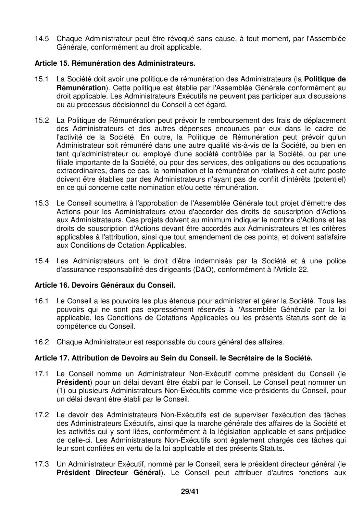14.5 Chaque Administrateur peut être révoqué sans cause, à tout moment, par l'Assemblée Générale, conformément au droit applicable.

# **Article 15. Rémunération des Administrateurs.**

- 15.1 La Société doit avoir une politique de rémunération des Administrateurs (la **Politique de Rémunération**). Cette politique est établie par l'Assemblée Générale conformément au droit applicable. Les Administrateurs Exécutifs ne peuvent pas participer aux discussions ou au processus décisionnel du Conseil à cet égard.
- 15.2 La Politique de Rémunération peut prévoir le remboursement des frais de déplacement des Administrateurs et des autres dépenses encourues par eux dans le cadre de l'activité de la Société. En outre, la Politique de Rémunération peut prévoir qu'un Administrateur soit rémunéré dans une autre qualité vis-à-vis de la Société, ou bien en tant qu'administrateur ou employé d'une société contrôlée par la Société, ou par une filiale importante de la Société, ou pour des services, des obligations ou des occupations extraordinaires, dans ce cas, la nomination et la rémunération relatives à cet autre poste doivent être établies par des Administrateurs n'ayant pas de conflit d'intérêts (potentiel) en ce qui concerne cette nomination et/ou cette rémunération.
- 15.3 Le Conseil soumettra à l'approbation de l'Assemblée Générale tout projet d'émettre des Actions pour les Administrateurs et/ou d'accorder des droits de souscription d'Actions aux Administrateurs. Ces projets doivent au minimum indiquer le nombre d'Actions et les droits de souscription d'Actions devant être accordés aux Administrateurs et les critères applicables à l'attribution, ainsi que tout amendement de ces points, et doivent satisfaire aux Conditions de Cotation Applicables.
- 15.4 Les Administrateurs ont le droit d'être indemnisés par la Société et à une police d'assurance responsabilité des dirigeants (D&O), conformément à l'Article 22.

### **Article 16. Devoirs Généraux du Conseil.**

- 16.1 Le Conseil a les pouvoirs les plus étendus pour administrer et gérer la Société. Tous les pouvoirs qui ne sont pas expressément réservés à l'Assemblée Générale par la loi applicable, les Conditions de Cotations Applicables ou les présents Statuts sont de la compétence du Conseil.
- 16.2 Chaque Administrateur est responsable du cours général des affaires.

### **Article 17. Attribution de Devoirs au Sein du Conseil. le Secrétaire de la Société.**

- 17.1 Le Conseil nomme un Administrateur Non-Exécutif comme président du Conseil (le **Président**) pour un délai devant être établi par le Conseil. Le Conseil peut nommer un (1) ou plusieurs Administrateurs Non-Exécutifs comme vice-présidents du Conseil, pour un délai devant être établi par le Conseil.
- 17.2 Le devoir des Administrateurs Non-Exécutifs est de superviser l'exécution des tâches des Administrateurs Exécutifs, ainsi que la marche générale des affaires de la Société et les activités qui y sont liées, conformément à la législation applicable et sans préjudice de celle-ci. Les Administrateurs Non-Exécutifs sont également chargés des tâches qui leur sont confiées en vertu de la loi applicable et des présents Statuts.
- 17.3 Un Administrateur Exécutif, nommé par le Conseil, sera le président directeur général (le **Président Directeur Général**). Le Conseil peut attribuer d'autres fonctions aux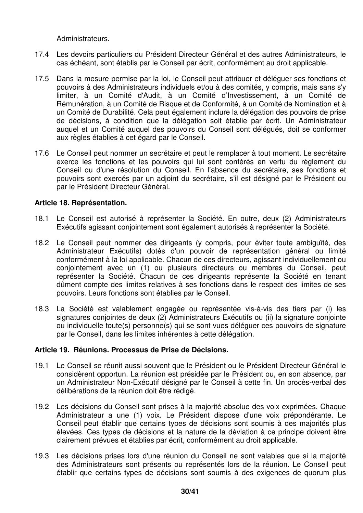Administrateurs.

- 17.4 Les devoirs particuliers du Président Directeur Général et des autres Administrateurs, le cas échéant, sont établis par le Conseil par écrit, conformément au droit applicable.
- 17.5 Dans la mesure permise par la loi, le Conseil peut attribuer et déléguer ses fonctions et pouvoirs à des Administrateurs individuels et/ou à des comités, y compris, mais sans s'y limiter, à un Comité d'Audit, à un Comité d'Investissement, à un Comité de Rémunération, à un Comité de Risque et de Conformité, à un Comité de Nomination et à un Comité de Durabilité. Cela peut également inclure la délégation des pouvoirs de prise de décisions, à condition que la délégation soit établie par écrit. Un Administrateur auquel et un Comité auquel des pouvoirs du Conseil sont délégués, doit se conformer aux règles établies à cet égard par le Conseil.
- 17.6 Le Conseil peut nommer un secrétaire et peut le remplacer à tout moment. Le secrétaire exerce les fonctions et les pouvoirs qui lui sont conférés en vertu du règlement du Conseil ou d'une résolution du Conseil. En l'absence du secrétaire, ses fonctions et pouvoirs sont exercés par un adjoint du secrétaire, s'il est désigné par le Président ou par le Président Directeur Général.

# **Article 18. Représentation.**

- 18.1 Le Conseil est autorisé à représenter la Société. En outre, deux (2) Administrateurs Exécutifs agissant conjointement sont également autorisés à représenter la Société.
- 18.2 Le Conseil peut nommer des dirigeants (y compris, pour éviter toute ambiguïté, des Administrateur Exécutifs) dotés d'un pouvoir de représentation général ou limité conformément à la loi applicable. Chacun de ces directeurs, agissant individuellement ou conjointement avec un (1) ou plusieurs directeurs ou membres du Conseil, peut représenter la Société. Chacun de ces dirigeants représente la Société en tenant dûment compte des limites relatives à ses fonctions dans le respect des limites de ses pouvoirs. Leurs fonctions sont établies par le Conseil.
- 18.3 La Société est valablement engagée ou représentée vis-à-vis des tiers par (i) les signatures conjointes de deux (2) Administrateurs Exécutifs ou (ii) la signature conjointe ou individuelle toute(s) personne(s) qui se sont vues déléguer ces pouvoirs de signature par le Conseil, dans les limites inhérentes à cette délégation.

### **Article 19. Réunions. Processus de Prise de Décisions.**

- 19.1 Le Conseil se réunit aussi souvent que le Président ou le Président Directeur Général le considèrent opportun. La réunion est présidée par le Président ou, en son absence, par un Administrateur Non-Exécutif désigné par le Conseil à cette fin. Un procès-verbal des délibérations de la réunion doit être rédigé.
- 19.2 Les décisions du Conseil sont prises à la majorité absolue des voix exprimées. Chaque Administrateur a une (1) voix. Le Président dispose d'une voix prépondérante. Le Conseil peut établir que certains types de décisions sont soumis à des majorités plus élevées. Ces types de décisions et la nature de la déviation à ce principe doivent être clairement prévues et établies par écrit, conformément au droit applicable.
- 19.3 Les décisions prises lors d'une réunion du Conseil ne sont valables que si la majorité des Administrateurs sont présents ou représentés lors de la réunion. Le Conseil peut établir que certains types de décisions sont soumis à des exigences de quorum plus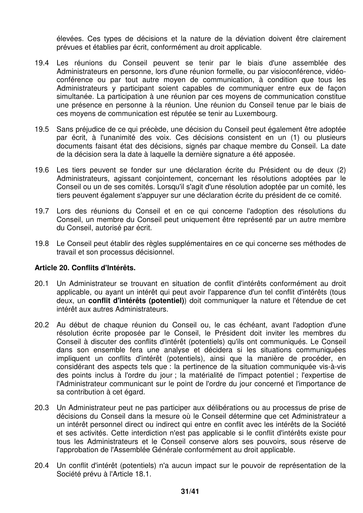élevées. Ces types de décisions et la nature de la déviation doivent être clairement prévues et établies par écrit, conformément au droit applicable.

- 19.4 Les réunions du Conseil peuvent se tenir par le biais d'une assemblée des Administrateurs en personne, lors d'une réunion formelle, ou par visioconférence, vidéoconférence ou par tout autre moyen de communication, à condition que tous les Administrateurs y participant soient capables de communiquer entre eux de façon simultanée. La participation à une réunion par ces moyens de communication constitue une présence en personne à la réunion. Une réunion du Conseil tenue par le biais de ces moyens de communication est réputée se tenir au Luxembourg.
- 19.5 Sans préjudice de ce qui précède, une décision du Conseil peut également être adoptée par écrit, à l'unanimité des voix. Ces décisions consistent en un (1) ou plusieurs documents faisant état des décisions, signés par chaque membre du Conseil. La date de la décision sera la date à laquelle la dernière signature a été apposée.
- 19.6 Les tiers peuvent se fonder sur une déclaration écrite du Président ou de deux (2) Administrateurs, agissant conjointement, concernant les résolutions adoptées par le Conseil ou un de ses comités. Lorsqu'il s'agit d'une résolution adoptée par un comité, les tiers peuvent également s'appuyer sur une déclaration écrite du président de ce comité.
- 19.7 Lors des réunions du Conseil et en ce qui concerne l'adoption des résolutions du Conseil, un membre du Conseil peut uniquement être représenté par un autre membre du Conseil, autorisé par écrit.
- 19.8 Le Conseil peut établir des règles supplémentaires en ce qui concerne ses méthodes de travail et son processus décisionnel.

### **Article 20. Conflits d'Intérêts.**

- 20.1 Un Administrateur se trouvant en situation de conflit d'intérêts conformément au droit applicable, ou ayant un intérêt qui peut avoir l'apparence d'un tel conflit d'intérêts (tous deux, un **conflit d'intérêts (potentiel)**) doit communiquer la nature et l'étendue de cet intérêt aux autres Administrateurs.
- 20.2 Au début de chaque réunion du Conseil ou, le cas échéant, avant l'adoption d'une résolution écrite proposée par le Conseil, le Président doit inviter les membres du Conseil à discuter des conflits d'intérêt (potentiels) qu'ils ont communiqués. Le Conseil dans son ensemble fera une analyse et décidera si les situations communiquées impliquent un conflits d'intérêt (potentiels), ainsi que la manière de procéder, en considérant des aspects tels que : la pertinence de la situation communiquée vis-à-vis des points inclus à l'ordre du jour ; la matérialité de l'impact potentiel ; l'expertise de l'Administrateur communicant sur le point de l'ordre du jour concerné et l'importance de sa contribution à cet égard.
- 20.3 Un Administrateur peut ne pas participer aux délibérations ou au processus de prise de décisions du Conseil dans la mesure où le Conseil détermine que cet Administrateur a un intérêt personnel direct ou indirect qui entre en conflit avec les intérêts de la Société et ses activités. Cette interdiction n'est pas applicable si le conflit d'intérêts existe pour tous les Administrateurs et le Conseil conserve alors ses pouvoirs, sous réserve de l'approbation de l'Assemblée Générale conformément au droit applicable.
- 20.4 Un conflit d'intérêt (potentiels) n'a aucun impact sur le pouvoir de représentation de la Société prévu à l'Article 18.1.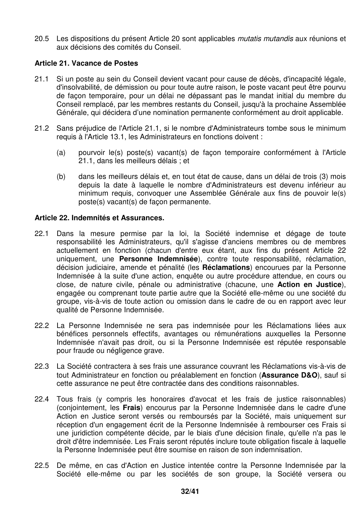20.5 Les dispositions du présent Article 20 sont applicables mutatis mutandis aux réunions et aux décisions des comités du Conseil.

### **Article 21. Vacance de Postes**

- 21.1 Si un poste au sein du Conseil devient vacant pour cause de décès, d'incapacité légale, d'insolvabilité, de démission ou pour toute autre raison, le poste vacant peut être pourvu de façon temporaire, pour un délai ne dépassant pas le mandat initial du membre du Conseil remplacé, par les membres restants du Conseil, jusqu'à la prochaine Assemblée Générale, qui décidera d'une nomination permanente conformément au droit applicable.
- 21.2 Sans préjudice de l'Article 21.1, si le nombre d'Administrateurs tombe sous le minimum requis à l'Article 13.1, les Administrateurs en fonctions doivent :
	- (a) pourvoir le(s) poste(s) vacant(s) de façon temporaire conformément à l'Article 21.1, dans les meilleurs délais ; et
	- (b) dans les meilleurs délais et, en tout état de cause, dans un délai de trois (3) mois depuis la date à laquelle le nombre d'Administrateurs est devenu inférieur au minimum requis, convoquer une Assemblée Générale aux fins de pouvoir le(s) poste(s) vacant(s) de façon permanente.

#### **Article 22. Indemnités et Assurances.**

- 22.1 Dans la mesure permise par la loi, la Société indemnise et dégage de toute responsabilité les Administrateurs, qu'il s'agisse d'anciens membres ou de membres actuellement en fonction (chacun d'entre eux étant, aux fins du présent Article 22 uniquement, une **Personne Indemnisée**), contre toute responsabilité, réclamation, décision judiciaire, amende et pénalité (les **Réclamations**) encourues par la Personne Indemnisée à la suite d'une action, enquête ou autre procédure attendue, en cours ou close, de nature civile, pénale ou administrative (chacune, une **Action en Justice**), engagée ou comprenant toute partie autre que la Société elle-même ou une société du groupe, vis-à-vis de toute action ou omission dans le cadre de ou en rapport avec leur qualité de Personne Indemnisée.
- 22.2 La Personne Indemnisée ne sera pas indemnisée pour les Réclamations liées aux bénéfices personnels effectifs, avantages ou rémunérations auxquelles la Personne Indemnisée n'avait pas droit, ou si la Personne Indemnisée est réputée responsable pour fraude ou négligence grave.
- 22.3 La Société contractera à ses frais une assurance couvrant les Réclamations vis-à-vis de tout Administrateur en fonction ou préalablement en fonction (**Assurance D&O**), sauf si cette assurance ne peut être contractée dans des conditions raisonnables.
- 22.4 Tous frais (y compris les honoraires d'avocat et les frais de justice raisonnables) (conjointement, les **Frais**) encourus par la Personne Indemnisée dans le cadre d'une Action en Justice seront versés ou remboursés par la Société, mais uniquement sur réception d'un engagement écrit de la Personne Indemnisée à rembourser ces Frais si une juridiction compétente décide, par le biais d'une décision finale, qu'elle n'a pas le droit d'être indemnisée. Les Frais seront réputés inclure toute obligation fiscale à laquelle la Personne Indemnisée peut être soumise en raison de son indemnisation.
- 22.5 De même, en cas d'Action en Justice intentée contre la Personne Indemnisée par la Société elle-même ou par les sociétés de son groupe, la Société versera ou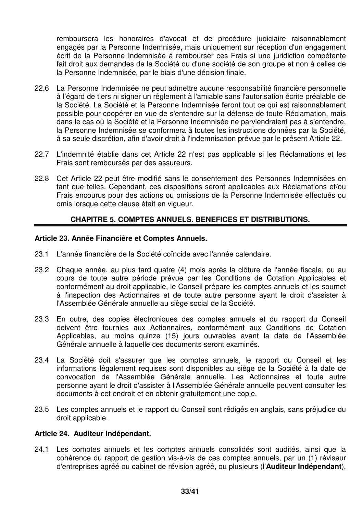remboursera les honoraires d'avocat et de procédure judiciaire raisonnablement engagés par la Personne Indemnisée, mais uniquement sur réception d'un engagement écrit de la Personne Indemnisée à rembourser ces Frais si une juridiction compétente fait droit aux demandes de la Société ou d'une société de son groupe et non à celles de la Personne Indemnisée, par le biais d'une décision finale.

- 22.6 La Personne Indemnisée ne peut admettre aucune responsabilité financière personnelle à l'égard de tiers ni signer un règlement à l'amiable sans l'autorisation écrite préalable de la Société. La Société et la Personne Indemnisée feront tout ce qui est raisonnablement possible pour coopérer en vue de s'entendre sur la défense de toute Réclamation, mais dans le cas où la Société et la Personne Indemnisée ne parviendraient pas à s'entendre, la Personne Indemnisée se conformera à toutes les instructions données par la Société, à sa seule discrétion, afin d'avoir droit à l'indemnisation prévue par le présent Article 22.
- 22.7 L'indemnité établie dans cet Article 22 n'est pas applicable si les Réclamations et les Frais sont remboursés par des assureurs.
- 22.8 Cet Article 22 peut être modifié sans le consentement des Personnes Indemnisées en tant que telles. Cependant, ces dispositions seront applicables aux Réclamations et/ou Frais encourus pour des actions ou omissions de la Personne Indemnisée effectués ou omis lorsque cette clause était en vigueur.

# **CHAPITRE 5. COMPTES ANNUELS. BENEFICES ET DISTRIBUTIONS.**

### **Article 23. Année Financière et Comptes Annuels.**

- 23.1 L'année financière de la Société coïncide avec l'année calendaire.
- 23.2 Chaque année, au plus tard quatre (4) mois après la clôture de l'année fiscale, ou au cours de toute autre période prévue par les Conditions de Cotation Applicables et conformément au droit applicable, le Conseil prépare les comptes annuels et les soumet à l'inspection des Actionnaires et de toute autre personne ayant le droit d'assister à l'Assemblée Générale annuelle au siège social de la Société.
- 23.3 En outre, des copies électroniques des comptes annuels et du rapport du Conseil doivent être fournies aux Actionnaires, conformément aux Conditions de Cotation Applicables, au moins quinze (15) jours ouvrables avant la date de l'Assemblée Générale annuelle à laquelle ces documents seront examinés.
- 23.4 La Société doit s'assurer que les comptes annuels, le rapport du Conseil et les informations légalement requises sont disponibles au siège de la Société à la date de convocation de l'Assemblée Générale annuelle. Les Actionnaires et toute autre personne ayant le droit d'assister à l'Assemblée Générale annuelle peuvent consulter les documents à cet endroit et en obtenir gratuitement une copie.
- 23.5 Les comptes annuels et le rapport du Conseil sont rédigés en anglais, sans préjudice du droit applicable.

#### **Article 24. Auditeur Indépendant.**

24.1 Les comptes annuels et les comptes annuels consolidés sont audités, ainsi que la cohérence du rapport de gestion vis-à-vis de ces comptes annuels, par un (1) réviseur d'entreprises agréé ou cabinet de révision agréé, ou plusieurs (l'**Auditeur Indépendant**),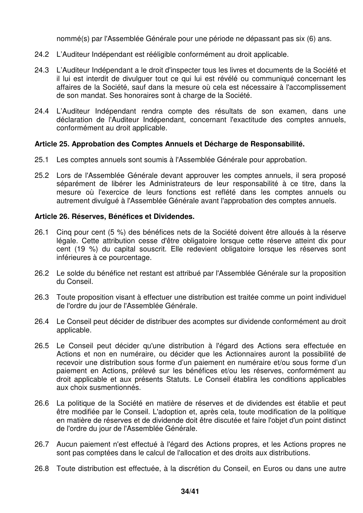nommé(s) par l'Assemblée Générale pour une période ne dépassant pas six (6) ans.

- 24.2 L'Auditeur Indépendant est rééligible conformément au droit applicable.
- 24.3 L'Auditeur Indépendant a le droit d'inspecter tous les livres et documents de la Société et il lui est interdit de divulguer tout ce qui lui est révélé ou communiqué concernant les affaires de la Société, sauf dans la mesure où cela est nécessaire à l'accomplissement de son mandat. Ses honoraires sont à charge de la Société.
- 24.4 L'Auditeur Indépendant rendra compte des résultats de son examen, dans une déclaration de l'Auditeur Indépendant, concernant l'exactitude des comptes annuels, conformément au droit applicable.

### **Article 25. Approbation des Comptes Annuels et Décharge de Responsabilité.**

- 25.1 Les comptes annuels sont soumis à l'Assemblée Générale pour approbation.
- 25.2 Lors de l'Assemblée Générale devant approuver les comptes annuels, il sera proposé séparément de libérer les Administrateurs de leur responsabilité à ce titre, dans la mesure où l'exercice de leurs fonctions est reflété dans les comptes annuels ou autrement divulgué à l'Assemblée Générale avant l'approbation des comptes annuels.

### **Article 26. Réserves, Bénéfices et Dividendes.**

- 26.1 Cinq pour cent (5 %) des bénéfices nets de la Société doivent être alloués à la réserve légale. Cette attribution cesse d'être obligatoire lorsque cette réserve atteint dix pour cent (19 %) du capital souscrit. Elle redevient obligatoire lorsque les réserves sont inférieures à ce pourcentage.
- 26.2 Le solde du bénéfice net restant est attribué par l'Assemblée Générale sur la proposition du Conseil.
- 26.3 Toute proposition visant à effectuer une distribution est traitée comme un point individuel de l'ordre du jour de l'Assemblée Générale.
- 26.4 Le Conseil peut décider de distribuer des acomptes sur dividende conformément au droit applicable.
- 26.5 Le Conseil peut décider qu'une distribution à l'égard des Actions sera effectuée en Actions et non en numéraire, ou décider que les Actionnaires auront la possibilité de recevoir une distribution sous forme d'un paiement en numéraire et/ou sous forme d'un paiement en Actions, prélevé sur les bénéfices et/ou les réserves, conformément au droit applicable et aux présents Statuts. Le Conseil établira les conditions applicables aux choix susmentionnés.
- 26.6 La politique de la Société en matière de réserves et de dividendes est établie et peut être modifiée par le Conseil. L'adoption et, après cela, toute modification de la politique en matière de réserves et de dividende doit être discutée et faire l'objet d'un point distinct de l'ordre du jour de l'Assemblée Générale.
- 26.7 Aucun paiement n'est effectué à l'égard des Actions propres, et les Actions propres ne sont pas comptées dans le calcul de l'allocation et des droits aux distributions.
- 26.8 Toute distribution est effectuée, à la discrétion du Conseil, en Euros ou dans une autre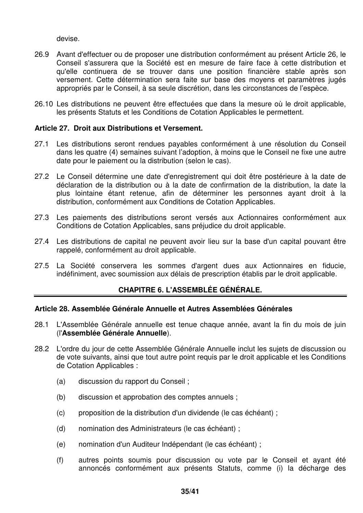devise.

- 26.9 Avant d'effectuer ou de proposer une distribution conformément au présent Article 26, le Conseil s'assurera que la Société est en mesure de faire face à cette distribution et qu'elle continuera de se trouver dans une position financière stable après son versement. Cette détermination sera faite sur base des moyens et paramètres jugés appropriés par le Conseil, à sa seule discrétion, dans les circonstances de l'espèce.
- 26.10 Les distributions ne peuvent être effectuées que dans la mesure où le droit applicable, les présents Statuts et les Conditions de Cotation Applicables le permettent.

# **Article 27. Droit aux Distributions et Versement.**

- 27.1 Les distributions seront rendues payables conformément à une résolution du Conseil dans les quatre (4) semaines suivant l'adoption, à moins que le Conseil ne fixe une autre date pour le paiement ou la distribution (selon le cas).
- 27.2 Le Conseil détermine une date d'enregistrement qui doit être postérieure à la date de déclaration de la distribution ou à la date de confirmation de la distribution, la date la plus lointaine étant retenue, afin de déterminer les personnes ayant droit à la distribution, conformément aux Conditions de Cotation Applicables.
- 27.3 Les paiements des distributions seront versés aux Actionnaires conformément aux Conditions de Cotation Applicables, sans préjudice du droit applicable.
- 27.4 Les distributions de capital ne peuvent avoir lieu sur la base d'un capital pouvant être rappelé, conformément au droit applicable.
- 27.5 La Société conservera les sommes d'argent dues aux Actionnaires en fiducie, indéfiniment, avec soumission aux délais de prescription établis par le droit applicable.

# **CHAPITRE 6. L'ASSEMBLÉE GÉNÉRALE.**

### **Article 28. Assemblée Générale Annuelle et Autres Assemblées Générales**

- 28.1 L'Assemblée Générale annuelle est tenue chaque année, avant la fin du mois de juin (l'**Assemblée Générale Annuelle**).
- 28.2 L'ordre du jour de cette Assemblée Générale Annuelle inclut les sujets de discussion ou de vote suivants, ainsi que tout autre point requis par le droit applicable et les Conditions de Cotation Applicables :
	- (a) discussion du rapport du Conseil ;
	- (b) discussion et approbation des comptes annuels ;
	- (c) proposition de la distribution d'un dividende (le cas échéant) ;
	- (d) nomination des Administrateurs (le cas échéant) ;
	- (e) nomination d'un Auditeur Indépendant (le cas échéant) ;
	- (f) autres points soumis pour discussion ou vote par le Conseil et ayant été annoncés conformément aux présents Statuts, comme (i) la décharge des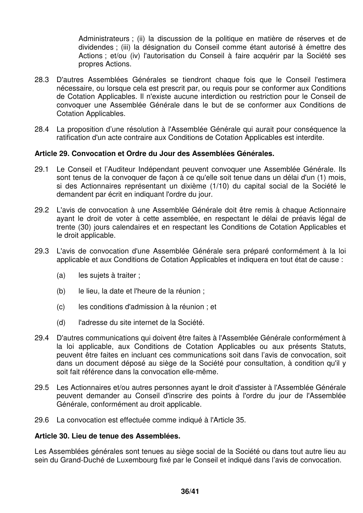Administrateurs ; (ii) la discussion de la politique en matière de réserves et de dividendes ; (iii) la désignation du Conseil comme étant autorisé à émettre des Actions ; et/ou (iv) l'autorisation du Conseil à faire acquérir par la Société ses propres Actions.

- 28.3 D'autres Assemblées Générales se tiendront chaque fois que le Conseil l'estimera nécessaire, ou lorsque cela est prescrit par, ou requis pour se conformer aux Conditions de Cotation Applicables. Il n'existe aucune interdiction ou restriction pour le Conseil de convoquer une Assemblée Générale dans le but de se conformer aux Conditions de Cotation Applicables.
- 28.4 La proposition d'une résolution à l'Assemblée Générale qui aurait pour conséquence la ratification d'un acte contraire aux Conditions de Cotation Applicables est interdite.

# **Article 29. Convocation et Ordre du Jour des Assemblées Générales.**

- 29.1 Le Conseil et l'Auditeur Indépendant peuvent convoquer une Assemblée Générale. Ils sont tenus de la convoquer de façon à ce qu'elle soit tenue dans un délai d'un (1) mois, si des Actionnaires représentant un dixième (1/10) du capital social de la Société le demandent par écrit en indiquant l'ordre du jour.
- 29.2 L'avis de convocation à une Assemblée Générale doit être remis à chaque Actionnaire ayant le droit de voter à cette assemblée, en respectant le délai de préavis légal de trente (30) jours calendaires et en respectant les Conditions de Cotation Applicables et le droit applicable.
- 29.3 L'avis de convocation d'une Assemblée Générale sera préparé conformément à la loi applicable et aux Conditions de Cotation Applicables et indiquera en tout état de cause :
	- (a) les sujets à traiter ;
	- (b) le lieu, la date et l'heure de la réunion ;
	- (c) les conditions d'admission à la réunion ; et
	- (d) l'adresse du site internet de la Société.
- 29.4 D'autres communications qui doivent être faites à l'Assemblée Générale conformément à la loi applicable, aux Conditions de Cotation Applicables ou aux présents Statuts, peuvent être faites en incluant ces communications soit dans l'avis de convocation, soit dans un document déposé au siège de la Société pour consultation, à condition qu'il y soit fait référence dans la convocation elle-même.
- 29.5 Les Actionnaires et/ou autres personnes ayant le droit d'assister à l'Assemblée Générale peuvent demander au Conseil d'inscrire des points à l'ordre du jour de l'Assemblée Générale, conformément au droit applicable.
- 29.6 La convocation est effectuée comme indiqué à l'Article 35.

### **Article 30. Lieu de tenue des Assemblées.**

Les Assemblées générales sont tenues au siège social de la Société ou dans tout autre lieu au sein du Grand-Duché de Luxembourg fixé par le Conseil et indiqué dans l'avis de convocation.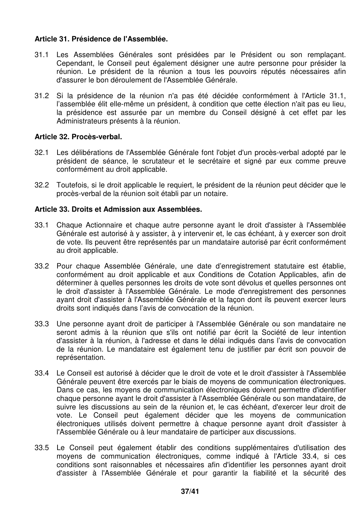### **Article 31. Présidence de l'Assemblée.**

- 31.1 Les Assemblées Générales sont présidées par le Président ou son remplaçant. Cependant, le Conseil peut également désigner une autre personne pour présider la réunion. Le président de la réunion a tous les pouvoirs réputés nécessaires afin d'assurer le bon déroulement de l'Assemblée Générale.
- 31.2 Si la présidence de la réunion n'a pas été décidée conformément à l'Article 31.1, l'assemblée élit elle-même un président, à condition que cette élection n'ait pas eu lieu, la présidence est assurée par un membre du Conseil désigné à cet effet par les Administrateurs présents à la réunion.

# **Article 32. Procès-verbal.**

- 32.1 Les délibérations de l'Assemblée Générale font l'objet d'un procès-verbal adopté par le président de séance, le scrutateur et le secrétaire et signé par eux comme preuve conformément au droit applicable.
- 32.2 Toutefois, si le droit applicable le requiert, le président de la réunion peut décider que le procès-verbal de la réunion soit établi par un notaire.

# **Article 33. Droits et Admission aux Assemblées.**

- 33.1 Chaque Actionnaire et chaque autre personne ayant le droit d'assister à l'Assemblée Générale est autorisé à y assister, à y intervenir et, le cas échéant, à y exercer son droit de vote. Ils peuvent être représentés par un mandataire autorisé par écrit conformément au droit applicable.
- 33.2 Pour chaque Assemblée Générale, une date d'enregistrement statutaire est établie, conformément au droit applicable et aux Conditions de Cotation Applicables, afin de déterminer à quelles personnes les droits de vote sont dévolus et quelles personnes ont le droit d'assister à l'Assemblée Générale. Le mode d'enregistrement des personnes ayant droit d'assister à l'Assemblée Générale et la façon dont ils peuvent exercer leurs droits sont indiqués dans l'avis de convocation de la réunion.
- 33.3 Une personne ayant droit de participer à l'Assemblée Générale ou son mandataire ne seront admis à la réunion que s'ils ont notifié par écrit la Société de leur intention d'assister à la réunion, à l'adresse et dans le délai indiqués dans l'avis de convocation de la réunion. Le mandataire est également tenu de justifier par écrit son pouvoir de représentation.
- 33.4 Le Conseil est autorisé à décider que le droit de vote et le droit d'assister à l'Assemblée Générale peuvent être exercés par le biais de moyens de communication électroniques. Dans ce cas, les movens de communication électroniques doivent permettre d'identifier chaque personne ayant le droit d'assister à l'Assemblée Générale ou son mandataire, de suivre les discussions au sein de la réunion et, le cas échéant, d'exercer leur droit de vote. Le Conseil peut également décider que les moyens de communication électroniques utilisés doivent permettre à chaque personne ayant droit d'assister à l'Assemblée Générale ou à leur mandataire de participer aux discussions.
- 33.5 Le Conseil peut également établir des conditions supplémentaires d'utilisation des moyens de communication électroniques, comme indiqué à l'Article 33.4, si ces conditions sont raisonnables et nécessaires afin d'identifier les personnes ayant droit d'assister à l'Assemblée Générale et pour garantir la fiabilité et la sécurité des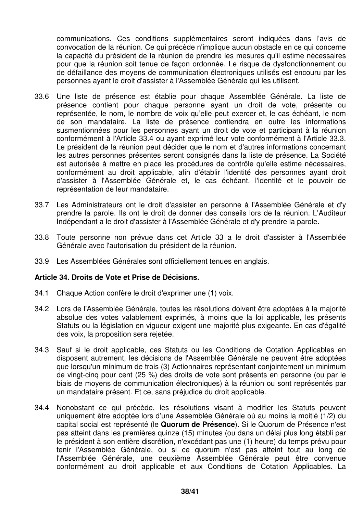communications. Ces conditions supplémentaires seront indiquées dans l'avis de convocation de la réunion. Ce qui précède n'implique aucun obstacle en ce qui concerne la capacité du président de la réunion de prendre les mesures qu'il estime nécessaires pour que la réunion soit tenue de façon ordonnée. Le risque de dysfonctionnement ou de défaillance des moyens de communication électroniques utilisés est encouru par les personnes ayant le droit d'assister à l'Assemblée Générale qui les utilisent.

- 33.6 Une liste de présence est établie pour chaque Assemblée Générale. La liste de présence contient pour chaque personne ayant un droit de vote, présente ou représentée, le nom, le nombre de voix qu'elle peut exercer et, le cas échéant, le nom de son mandataire. La liste de présence contiendra en outre les informations susmentionnées pour les personnes ayant un droit de vote et participant à la réunion conformément à l'Article 33.4 ou ayant exprimé leur vote conformément à l'Article 33.3. Le président de la réunion peut décider que le nom et d'autres informations concernant les autres personnes présentes seront consignés dans la liste de présence. La Société est autorisée à mettre en place les procédures de contrôle qu'elle estime nécessaires, conformément au droit applicable, afin d'établir l'identité des personnes ayant droit d'assister à l'Assemblée Générale et, le cas échéant, l'identité et le pouvoir de représentation de leur mandataire.
- 33.7 Les Administrateurs ont le droit d'assister en personne à l'Assemblée Générale et d'y prendre la parole. Ils ont le droit de donner des conseils lors de la réunion. L'Auditeur Indépendant a le droit d'assister à l'Assemblée Générale et d'y prendre la parole.
- 33.8 Toute personne non prévue dans cet Article 33 a le droit d'assister à l'Assemblée Générale avec l'autorisation du président de la réunion.
- 33.9 Les Assemblées Générales sont officiellement tenues en anglais.

#### **Article 34. Droits de Vote et Prise de Décisions.**

- 34.1 Chaque Action confère le droit d'exprimer une (1) voix.
- 34.2 Lors de l'Assemblée Générale, toutes les résolutions doivent être adoptées à la majorité absolue des votes valablement exprimés, à moins que la loi applicable, les présents Statuts ou la législation en vigueur exigent une majorité plus exigeante. En cas d'égalité des voix, la proposition sera rejetée.
- 34.3 Sauf si le droit applicable, ces Statuts ou les Conditions de Cotation Applicables en disposent autrement, les décisions de l'Assemblée Générale ne peuvent être adoptées que lorsqu'un minimum de trois (3) Actionnaires représentant conjointement un minimum de vingt-cinq pour cent (25 %) des droits de vote sont présents en personne (ou par le biais de moyens de communication électroniques) à la réunion ou sont représentés par un mandataire présent. Et ce, sans préjudice du droit applicable.
- 34.4 Nonobstant ce qui précède, les résolutions visant à modifier les Statuts peuvent uniquement être adoptée lors d'une Assemblée Générale où au moins la moitié (1/2) du capital social est représenté (le **Quorum de Présence**). Si le Quorum de Présence n'est pas atteint dans les premières quinze (15) minutes (ou dans un délai plus long établi par le président à son entière discrétion, n'excédant pas une (1) heure) du temps prévu pour tenir l'Assemblée Générale, ou si ce quorum n'est pas atteint tout au long de l'Assemblée Générale, une deuxième Assemblée Générale peut être convenue conformément au droit applicable et aux Conditions de Cotation Applicables. La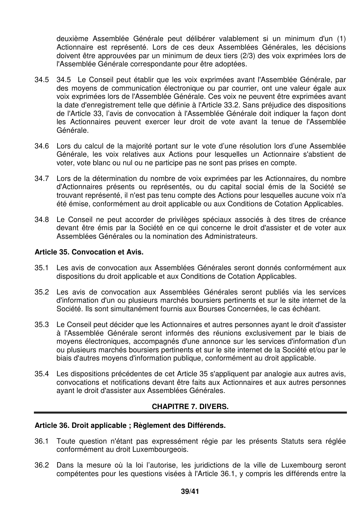deuxième Assemblée Générale peut délibérer valablement si un minimum d'un (1) Actionnaire est représenté. Lors de ces deux Assemblées Générales, les décisions doivent être approuvées par un minimum de deux tiers (2/3) des voix exprimées lors de l'Assemblée Générale correspondante pour être adoptées.

- 34.5 34.5 Le Conseil peut établir que les voix exprimées avant l'Assemblée Générale, par des moyens de communication électronique ou par courrier, ont une valeur égale aux voix exprimées lors de l'Assemblée Générale. Ces voix ne peuvent être exprimées avant la date d'enregistrement telle que définie à l'Article 33.2. Sans préjudice des dispositions de l'Article 33, l'avis de convocation à l'Assemblée Générale doit indiquer la façon dont les Actionnaires peuvent exercer leur droit de vote avant la tenue de l'Assemblée Générale.
- 34.6 Lors du calcul de la majorité portant sur le vote d'une résolution lors d'une Assemblée Générale, les voix relatives aux Actions pour lesquelles un Actionnaire s'abstient de voter, vote blanc ou nul ou ne participe pas ne sont pas prises en compte.
- 34.7 Lors de la détermination du nombre de voix exprimées par les Actionnaires, du nombre d'Actionnaires présents ou représentés, ou du capital social émis de la Société se trouvant représenté, il n'est pas tenu compte des Actions pour lesquelles aucune voix n'a été émise, conformément au droit applicable ou aux Conditions de Cotation Applicables.
- 34.8 Le Conseil ne peut accorder de privilèges spéciaux associés à des titres de créance devant être émis par la Société en ce qui concerne le droit d'assister et de voter aux Assemblées Générales ou la nomination des Administrateurs.

### **Article 35. Convocation et Avis.**

- 35.1 Les avis de convocation aux Assemblées Générales seront donnés conformément aux dispositions du droit applicable et aux Conditions de Cotation Applicables.
- 35.2 Les avis de convocation aux Assemblées Générales seront publiés via les services d'information d'un ou plusieurs marchés boursiers pertinents et sur le site internet de la Société. Ils sont simultanément fournis aux Bourses Concernées, le cas échéant.
- 35.3 Le Conseil peut décider que les Actionnaires et autres personnes ayant le droit d'assister à l'Assemblée Générale seront informés des réunions exclusivement par le biais de moyens électroniques, accompagnés d'une annonce sur les services d'information d'un ou plusieurs marchés boursiers pertinents et sur le site internet de la Société et/ou par le biais d'autres moyens d'information publique, conformément au droit applicable.
- 35.4 Les dispositions précédentes de cet Article 35 s'appliquent par analogie aux autres avis, convocations et notifications devant être faits aux Actionnaires et aux autres personnes ayant le droit d'assister aux Assemblées Générales.

### **CHAPITRE 7. DIVERS.**

#### **Article 36. Droit applicable ; Règlement des Différends.**

- 36.1 Toute question n'étant pas expressément régie par les présents Statuts sera réglée conformément au droit Luxembourgeois.
- 36.2 Dans la mesure où la loi l'autorise, les juridictions de la ville de Luxembourg seront compétentes pour les questions visées à l'Article 36.1, y compris les différends entre la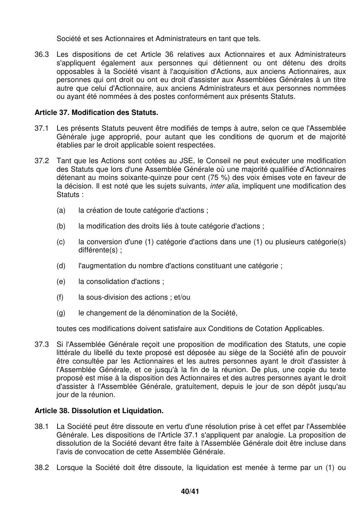Société et ses Actionnaires et Administrateurs en tant que tels.

36.3 Les dispositions de cet Article 36 relatives aux Actionnaires et aux Administrateurs s'appliquent également aux personnes qui détiennent ou ont détenu des droits opposables à la Société visant à l'acquisition d'Actions, aux anciens Actionnaires, aux personnes qui ont droit ou ont eu droit d'assister aux Assemblées Générales à un titre autre que celui d'Actionnaire, aux anciens Administrateurs et aux personnes nommées ou ayant été nommées à des postes conformément aux présents Statuts.

# **Article 37. Modification des Statuts.**

- 37.1 Les présents Statuts peuvent être modifiés de temps à autre, selon ce que l'Assemblée Générale juge approprié, pour autant que les conditions de quorum et de majorité établies par le droit applicable soient respectées.
- 37.2 Tant que les Actions sont cotées au JSE, le Conseil ne peut exécuter une modification des Statuts que lors d'une Assemblée Générale où une majorité qualifiée d'Actionnaires détenant au moins soixante-quinze pour cent (75 %) des voix émises vote en faveur de la décision. Il est noté que les sujets suivants, *inter alia*, impliquent une modification des Statuts :
	- (a) la création de toute catégorie d'actions ;
	- (b) la modification des droits liés à toute catégorie d'actions ;
	- (c) la conversion d'une (1) catégorie d'actions dans une (1) ou plusieurs catégorie(s) différente(s) ;
	- (d) l'augmentation du nombre d'actions constituant une catégorie ;
	- (e) la consolidation d'actions ;
	- (f) la sous-division des actions ; et/ou
	- (g) le changement de la dénomination de la Société,

toutes ces modifications doivent satisfaire aux Conditions de Cotation Applicables.

37.3 Si l'Assemblée Générale reçoit une proposition de modification des Statuts, une copie littérale du libellé du texte proposé est déposée au siège de la Société afin de pouvoir être consultée par les Actionnaires et les autres personnes ayant le droit d'assister à l'Assemblée Générale, et ce jusqu'à la fin de la réunion. De plus, une copie du texte proposé est mise à la disposition des Actionnaires et des autres personnes ayant le droit d'assister à l'Assemblée Générale, gratuitement, depuis le jour de son dépôt jusqu'au jour de la réunion.

# **Article 38. Dissolution et Liquidation.**

- 38.1 La Société peut être dissoute en vertu d'une résolution prise à cet effet par l'Assemblée Générale. Les dispositions de l'Article 37.1 s'appliquent par analogie. La proposition de dissolution de la Société devant être faite à l'Assemblée Générale doit être incluse dans l'avis de convocation de cette Assemblée Générale.
- 38.2 Lorsque la Société doit être dissoute, la liquidation est menée à terme par un (1) ou